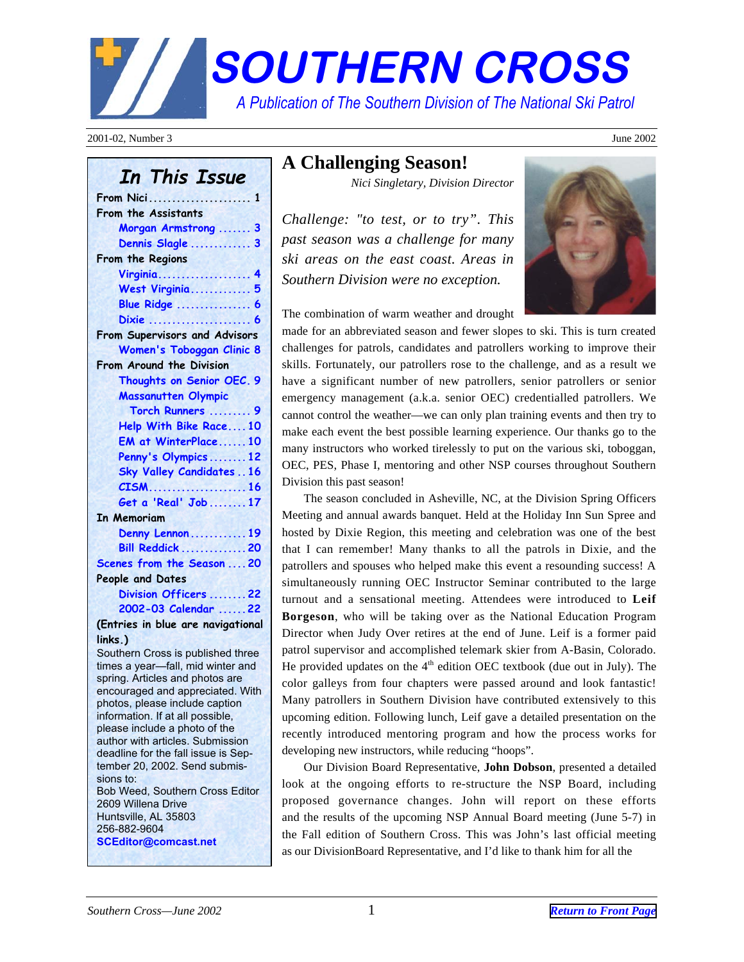# <span id="page-0-0"></span>**SOUTHERN CROSS.** *A Publication of The Southern Division of The National Ski Patrol..*

2001-02, Number 3 June 2002

### **In This Issue**

| From Nici 1                       |
|-----------------------------------|
| From the Assistants               |
| Morgan Armstrong  3               |
| Dennis Slagle  3                  |
| From the Regions                  |
| Virginia 4                        |
| West Virginia 5                   |
| <b>Blue Ridge  6</b>              |
| Dixie  6                          |
| From Supervisors and Advisors     |
| <b>Women's Toboggan Clinic 8</b>  |
| From Around the Division          |
| Thoughts on Senior OEC. 9         |
| <b>Massanutten Olympic</b>        |
| Torch Runners  9                  |
| Help With Bike Race10             |
| EM at WinterPlace10               |
| Penny's Olympics12                |
| <b>Sky Valley Candidates16</b>    |
| . 16<br>$CISM$                    |
| Get a 'Real' Job 17               |
| <b>In Memoriam</b>                |
| Denny Lennon  19                  |
| <b>Bill Reddick  20</b>           |
| Scenes from the Season  20        |
| People and Dates                  |
| Division Officers  22             |
| 2002-03 Calendar 22               |
| (Entrice in blue and novicetional |

**(Entries in blue are navigational links.)**

Southern Cross is published three times a year—fall, mid winter and spring. Articles and photos are encouraged and appreciated. With photos, please include caption information. If at all possible, please include a photo of the author with articles. Submission deadline for the fall issue is September 20, 2002. Send submissions to: Bob Weed, Southern Cross Editor 2609 Willena Drive Huntsville, AL 35803 256-882-9604 **SCEditor@comcast.net**

### **A Challenging Season!**

*Nici Singletary, Division Director*

*Challenge: "to test, or to try". This past season was a challenge for many ski areas on the east coast. Areas in Southern Division were no exception.*



The combination of warm weather and drought

made for an abbreviated season and fewer slopes to ski. This is turn created challenges for patrols, candidates and patrollers working to improve their skills. Fortunately, our patrollers rose to the challenge, and as a result we have a significant number of new patrollers, senior patrollers or senior emergency management (a.k.a. senior OEC) credentialled patrollers. We cannot control the weather—we can only plan training events and then try to make each event the best possible learning experience. Our thanks go to the many instructors who worked tirelessly to put on the various ski, toboggan, OEC, PES, Phase I, mentoring and other NSP courses throughout Southern Division this past season!

The season concluded in Asheville, NC, at the Division Spring Officers Meeting and annual awards banquet. Held at the Holiday Inn Sun Spree and hosted by Dixie Region, this meeting and celebration was one of the best that I can remember! Many thanks to all the patrols in Dixie, and the patrollers and spouses who helped make this event a resounding success! A simultaneously running OEC Instructor Seminar contributed to the large turnout and a sensational meeting. Attendees were introduced to **Leif Borgeson**, who will be taking over as the National Education Program Director when Judy Over retires at the end of June. Leif is a former paid patrol supervisor and accomplished telemark skier from A-Basin, Colorado. He provided updates on the  $4<sup>th</sup>$  edition OEC textbook (due out in July). The color galleys from four chapters were passed around and look fantastic! Many patrollers in Southern Division have contributed extensively to this upcoming edition. Following lunch, Leif gave a detailed presentation on the recently introduced mentoring program and how the process works for developing new instructors, while reducing "hoops".

Our Division Board Representative, **John Dobson**, presented a detailed look at the ongoing efforts to re-structure the NSP Board, including proposed governance changes. John will report on these efforts and the results of the upcoming NSP Annual Board meeting (June 5-7) in the Fall edition of Southern Cross. This was John's last official meeting as our DivisionBoard Representative, and I'd like to thank him for all the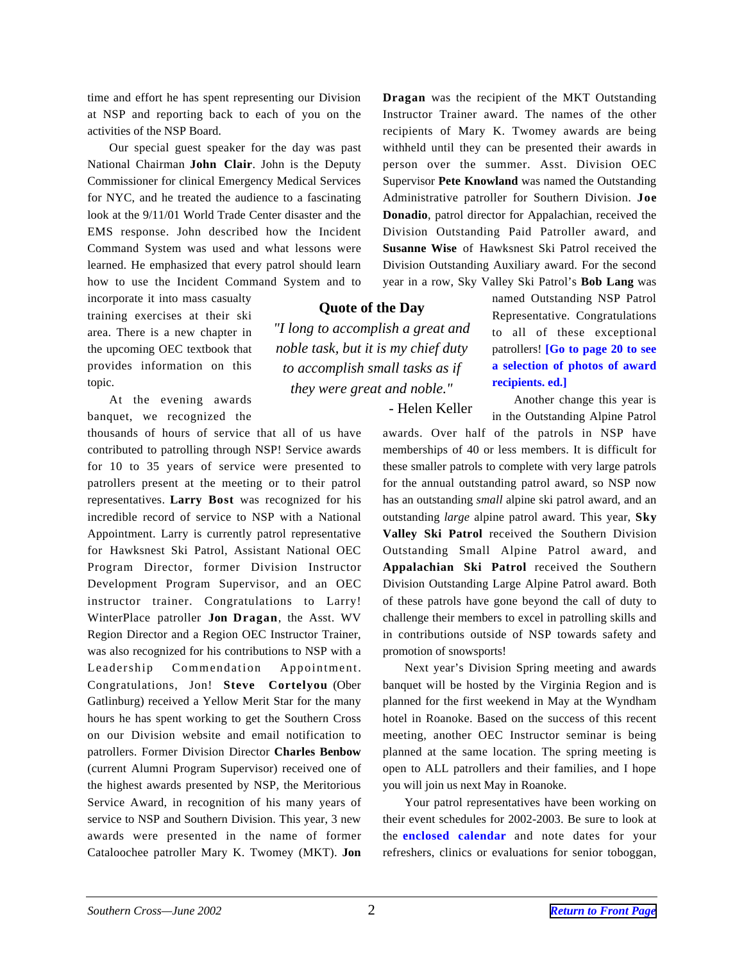time and effort he has spent representing our Division at NSP and reporting back to each of you on the activities of the NSP Board.

Our special guest speaker for the day was past National Chairman **John Clair**. John is the Deputy Commissioner for clinical Emergency Medical Services for NYC, and he treated the audience to a fascinating look at the 9/11/01 World Trade Center disaster and the EMS response. John described how the Incident Command System was used and what lessons were learned. He emphasized that every patrol should learn how to use the Incident Command System and to

incorporate it into mass casualty training exercises at their ski area. There is a new chapter in the upcoming OEC textbook that provides information on this topic.

At the evening awards banquet, we recognized the

thousands of hours of service that all of us have contributed to patrolling through NSP! Service awards for 10 to 35 years of service were presented to patrollers present at the meeting or to their patrol representatives. **Larry Bost** was recognized for his incredible record of service to NSP with a National Appointment. Larry is currently patrol representative for Hawksnest Ski Patrol, Assistant National OEC Program Director, former Division Instructor Development Program Supervisor, and an OEC instructor trainer. Congratulations to Larry! WinterPlace patroller **Jon Dragan**, the Asst. WV Region Director and a Region OEC Instructor Trainer, was also recognized for his contributions to NSP with a Leadership Commendation Appointment. Congratulations, Jon! **Steve Cortelyou** (Ober Gatlinburg) received a Yellow Merit Star for the many hours he has spent working to get the Southern Cross on our Division website and email notification to patrollers. Former Division Director **Charles Benbow** (current Alumni Program Supervisor) received one of the highest awards presented by NSP, the Meritorious Service Award, in recognition of his many years of service to NSP and Southern Division. This year, 3 new awards were presented in the name of former Cataloochee patroller Mary K. Twomey (MKT). **Jon**

**Dragan** was the recipient of the MKT Outstanding Instructor Trainer award. The names of the other recipients of Mary K. Twomey awards are being withheld until they can be presented their awards in person over the summer. Asst. Division OEC Supervisor **Pete Knowland** was named the Outstanding Administrative patroller for Southern Division. **Joe Donadio**, patrol director for Appalachian, received the Division Outstanding Paid Patroller award, and **Susanne Wise** of Hawksnest Ski Patrol received the Division Outstanding Auxiliary award. For the second year in a row, Sky Valley Ski Patrol's **Bob Lang** was

### **Quote of the Day**

*"I long to accomplish a great and noble task, but it is my chief duty to accomplish small tasks as if they were great and noble."*

- Helen Keller

named Outstanding NSP Patrol Representative. Congratulations to all of these exceptional patrollers! **[Go to page 20 to see a selection of photos of award recipients. ed.]**

Another change this year is in the Outstanding Alpine Patrol

awards. Over half of the patrols in NSP have memberships of 40 or less members. It is difficult for these smaller patrols to complete with very large patrols for the annual outstanding patrol award, so NSP now has an outstanding *small* alpine ski patrol award, and an outstanding *large* alpine patrol award. This year, **Sky Valley Ski Patrol** received the Southern Division Outstanding Small Alpine Patrol award, and **Appalachian Ski Patrol** received the Southern Division Outstanding Large Alpine Patrol award. Both of these patrols have gone beyond the call of duty to challenge their members to excel in patrolling skills and in contributions outside of NSP towards safety and promotion of snowsports!

Next year's Division Spring meeting and awards banquet will be hosted by the Virginia Region and is planned for the first weekend in May at the Wyndham hotel in Roanoke. Based on the success of this recent meeting, another OEC Instructor seminar is being planned at the same location. The spring meeting is open to ALL patrollers and their families, and I hope you will join us next May in Roanoke.

Your patrol representatives have been working on their event schedules for 2002-2003. Be sure to look at the **enclosed calendar** and note dates for your refreshers, clinics or evaluations for senior toboggan,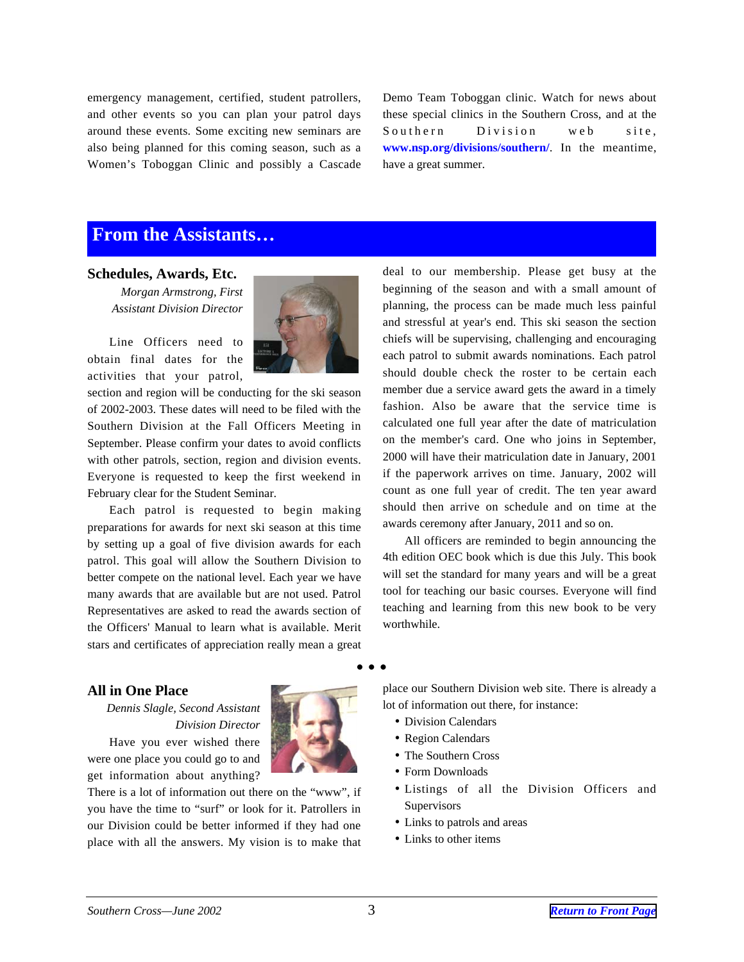<span id="page-2-0"></span>emergency management, certified, student patrollers, and other events so you can plan your patrol days around these events. Some exciting new seminars are also being planned for this coming season, such as a Women's Toboggan Clinic and possibly a Cascade Demo Team Toboggan clinic. Watch for news about these special clinics in the Southern Cross, and at the Southern Division web site, **www.nsp.org/divisions/southern/**. In the meantime, have a great summer.

### **From the Assistants…**

#### **Schedules, Awards, Etc.**

*Morgan Armstrong, First Assistant Division Director*

Line Officers need to obtain final dates for the activities that your patrol,



section and region will be conducting for the ski season of 2002-2003. These dates will need to be filed with the Southern Division at the Fall Officers Meeting in September. Please confirm your dates to avoid conflicts with other patrols, section, region and division events. Everyone is requested to keep the first weekend in February clear for the Student Seminar.

Each patrol is requested to begin making preparations for awards for next ski season at this time by setting up a goal of five division awards for each patrol. This goal will allow the Southern Division to better compete on the national level. Each year we have many awards that are available but are not used. Patrol Representatives are asked to read the awards section of the Officers' Manual to learn what is available. Merit stars and certificates of appreciation really mean a great

deal to our membership. Please get busy at the beginning of the season and with a small amount of planning, the process can be made much less painful and stressful at year's end. This ski season the section chiefs will be supervising, challenging and encouraging each patrol to submit awards nominations. Each patrol should double check the roster to be certain each member due a service award gets the award in a timely fashion. Also be aware that the service time is calculated one full year after the date of matriculation on the member's card. One who joins in September, 2000 will have their matriculation date in January, 2001 if the paperwork arrives on time. January, 2002 will count as one full year of credit. The ten year award should then arrive on schedule and on time at the awards ceremony after January, 2011 and so on.

All officers are reminded to begin announcing the 4th edition OEC book which is due this July. This book will set the standard for many years and will be a great tool for teaching our basic courses. Everyone will find teaching and learning from this new book to be very worthwhile.

#### **All in One Place**

*Dennis Slagle, Second Assistant Division Director* Have you ever wished there were one place you could go to and get information about anything?

There is a lot of information out there on the "www", if you have the time to "surf" or look for it. Patrollers in our Division could be better informed if they had one place with all the answers. My vision is to make that place our Southern Division web site. There is already a lot of information out there, for instance:

- Division Calendars
- Region Calendars
- The Southern Cross
- Form Downloads
- Listings of all the Division Officers and Supervisors
- Links to patrols and areas
- Links to other items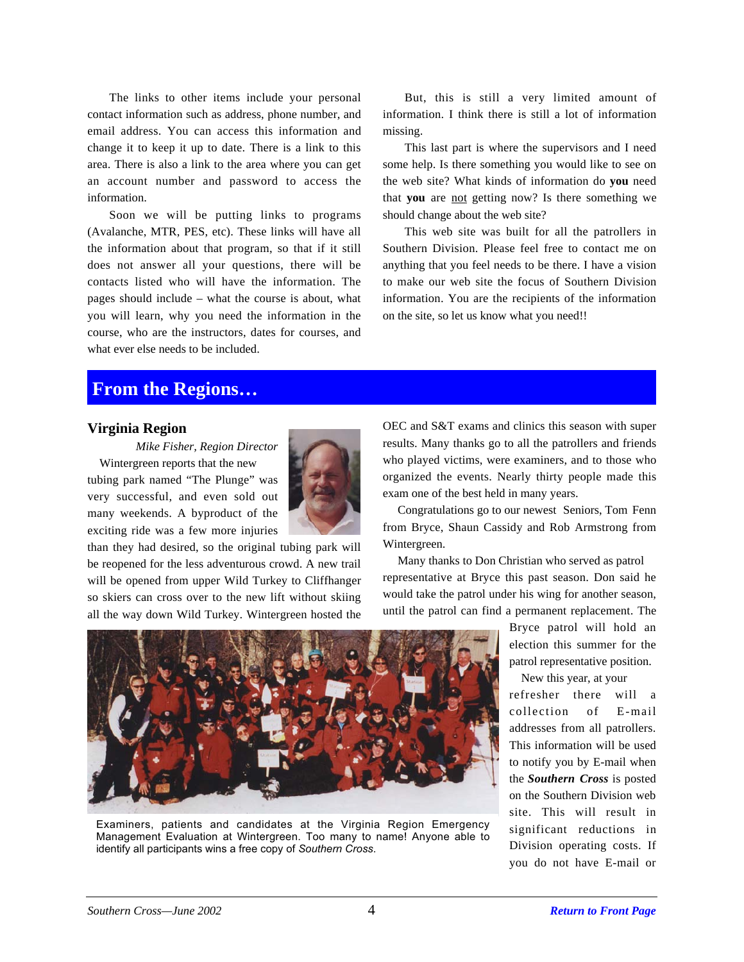<span id="page-3-0"></span>The links to other items include your personal contact information such as address, phone number, and email address. You can access this information and change it to keep it up to date. There is a link to this area. There is also a link to the area where you can get an account number and password to access the information.

Soon we will be putting links to programs (Avalanche, MTR, PES, etc). These links will have all the information about that program, so that if it still does not answer all your questions, there will be contacts listed who will have the information. The pages should include – what the course is about, what you will learn, why you need the information in the course, who are the instructors, dates for courses, and what ever else needs to be included.

But, this is still a very limited amount of information. I think there is still a lot of information missing.

This last part is where the supervisors and I need some help. Is there something you would like to see on the web site? What kinds of information do **you** need that **you** are not getting now? Is there something we should change about the web site?

This web site was built for all the patrollers in Southern Division. Please feel free to contact me on anything that you feel needs to be there. I have a vision to make our web site the focus of Southern Division information. You are the recipients of the information on the site, so let us know what you need!!

### **From the Regions…**

#### **Virginia Region**

*Mike Fisher, Region Director*

 Wintergreen reports that the new tubing park named "The Plunge" was very successful, and even sold out many weekends. A byproduct of the exciting ride was a few more injuries



than they had desired, so the original tubing park will be reopened for the less adventurous crowd. A new trail will be opened from upper Wild Turkey to Cliffhanger so skiers can cross over to the new lift without skiing all the way down Wild Turkey. Wintergreen hosted the

OEC and S&T exams and clinics this season with super results. Many thanks go to all the patrollers and friends who played victims, were examiners, and to those who organized the events. Nearly thirty people made this exam one of the best held in many years.

 Congratulations go to our newest Seniors, Tom Fenn from Bryce, Shaun Cassidy and Rob Armstrong from Wintergreen.

 Many thanks to Don Christian who served as patrol representative at Bryce this past season. Don said he would take the patrol under his wing for another season, until the patrol can find a permanent replacement. The

> Bryce patrol will hold an election this summer for the patrol representative position.

> New this year, at your refresher there will a collection of E-mail addresses from all patrollers. This information will be used to notify you by E-mail when the *Southern Cross* is posted on the Southern Division web site. This will result in significant reductions in Division operating costs. If you do not have E-mail or



Examiners, patients and candidates at the Virginia Region Emergency Management Evaluation at Wintergreen. Too many to name! Anyone able to identify all participants wins a free copy of *Southern Cross*.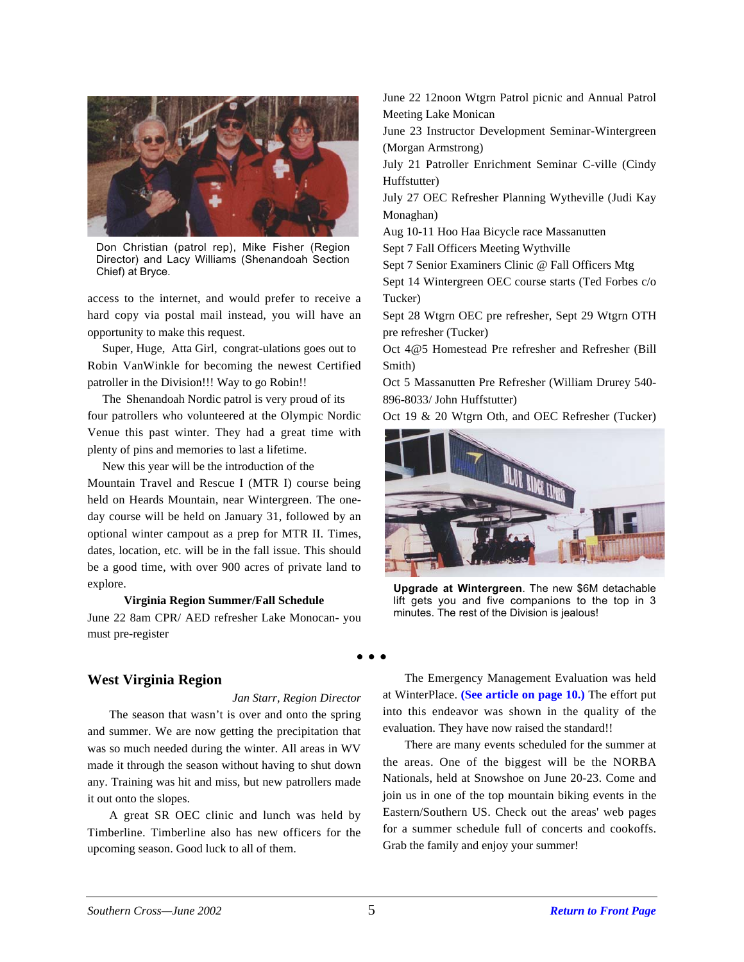<span id="page-4-0"></span>

Don Christian (patrol rep), Mike Fisher (Region Director) and Lacy Williams (Shenandoah Section Chief) at Bryce.

access to the internet, and would prefer to receive a hard copy via postal mail instead, you will have an opportunity to make this request.

 Super, Huge, Atta Girl, congrat-ulations goes out to Robin VanWinkle for becoming the newest Certified patroller in the Division!!! Way to go Robin!!

 The Shenandoah Nordic patrol is very proud of its four patrollers who volunteered at the Olympic Nordic Venue this past winter. They had a great time with plenty of pins and memories to last a lifetime.

 New this year will be the introduction of the Mountain Travel and Rescue I (MTR I) course being held on Heards Mountain, near Wintergreen. The oneday course will be held on January 31, followed by an optional winter campout as a prep for MTR II. Times, dates, location, etc. will be in the fall issue. This should be a good time, with over 900 acres of private land to explore.

#### **Virginia Region Summer/Fall Schedule**

June 22 8am CPR/ AED refresher Lake Monocan- you must pre-register

June 22 12noon Wtgrn Patrol picnic and Annual Patrol Meeting Lake Monican

June 23 Instructor Development Seminar-Wintergreen (Morgan Armstrong)

July 21 Patroller Enrichment Seminar C-ville (Cindy Huffstutter)

July 27 OEC Refresher Planning Wytheville (Judi Kay Monaghan)

Aug 10-11 Hoo Haa Bicycle race Massanutten

Sept 7 Fall Officers Meeting Wythville

Sept 7 Senior Examiners Clinic @ Fall Officers Mtg

Sept 14 Wintergreen OEC course starts (Ted Forbes c/o Tucker)

Sept 28 Wtgrn OEC pre refresher, Sept 29 Wtgrn OTH pre refresher (Tucker)

Oct 4@5 Homestead Pre refresher and Refresher (Bill Smith)

Oct 5 Massanutten Pre Refresher (William Drurey 540- 896-8033/ John Huffstutter)

Oct 19 & 20 Wtgrn Oth, and OEC Refresher (Tucker)



**Upgrade at Wintergreen**. The new \$6M detachable lift gets you and five companions to the top in 3 minutes. The rest of the Division is jealous!

### **West Virginia Region**

*Jan Starr, Region Director*

The season that wasn't is over and onto the spring and summer. We are now getting the precipitation that was so much needed during the winter. All areas in WV made it through the season without having to shut down any. Training was hit and miss, but new patrollers made it out onto the slopes.

A great SR OEC clinic and lunch was held by Timberline. Timberline also has new officers for the upcoming season. Good luck to all of them.

The Emergency Management Evaluation was held at WinterPlace. **(See article on page 10.)** The effort put into this endeavor was shown in the quality of the evaluation. They have now raised the standard!!

There are many events scheduled for the summer at the areas. One of the biggest will be the NORBA Nationals, held at Snowshoe on June 20-23. Come and join us in one of the top mountain biking events in the Eastern/Southern US. Check out the areas' web pages for a summer schedule full of concerts and cookoffs. Grab the family and enjoy your summer!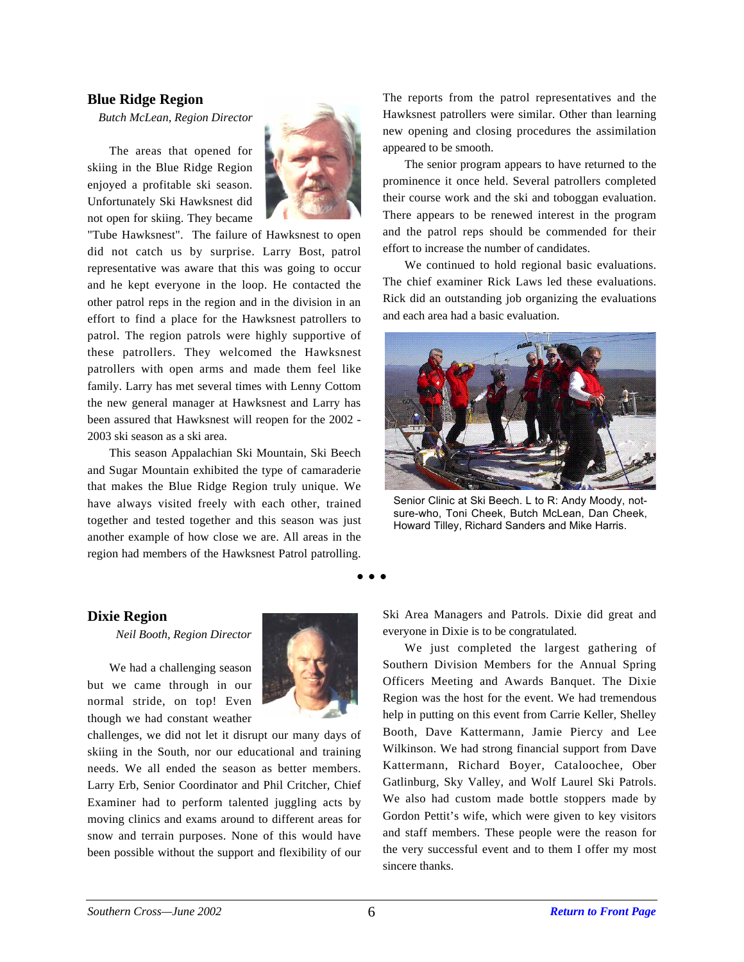#### <span id="page-5-0"></span>**Blue Ridge Region**

*Butch McLean, Region Director*

The areas that opened for skiing in the Blue Ridge Region enjoyed a profitable ski season. Unfortunately Ski Hawksnest did not open for skiing. They became



"Tube Hawksnest". The failure of Hawksnest to open did not catch us by surprise. Larry Bost, patrol representative was aware that this was going to occur and he kept everyone in the loop. He contacted the other patrol reps in the region and in the division in an effort to find a place for the Hawksnest patrollers to patrol. The region patrols were highly supportive of these patrollers. They welcomed the Hawksnest patrollers with open arms and made them feel like family. Larry has met several times with Lenny Cottom the new general manager at Hawksnest and Larry has been assured that Hawksnest will reopen for the 2002 - 2003 ski season as a ski area.

This season Appalachian Ski Mountain, Ski Beech and Sugar Mountain exhibited the type of camaraderie that makes the Blue Ridge Region truly unique. We have always visited freely with each other, trained together and tested together and this season was just another example of how close we are. All areas in the region had members of the Hawksnest Patrol patrolling.

The reports from the patrol representatives and the Hawksnest patrollers were similar. Other than learning new opening and closing procedures the assimilation appeared to be smooth.

The senior program appears to have returned to the prominence it once held. Several patrollers completed their course work and the ski and toboggan evaluation. There appears to be renewed interest in the program and the patrol reps should be commended for their effort to increase the number of candidates.

We continued to hold regional basic evaluations. The chief examiner Rick Laws led these evaluations. Rick did an outstanding job organizing the evaluations and each area had a basic evaluation.



Senior Clinic at Ski Beech. L to R: Andy Moody, notsure-who, Toni Cheek, Butch McLean, Dan Cheek, Howard Tilley, Richard Sanders and Mike Harris.

#### **Dixie Region**

*Neil Booth, Region Director*

We had a challenging season but we came through in our normal stride, on top! Even though we had constant weather



challenges, we did not let it disrupt our many days of skiing in the South, nor our educational and training needs. We all ended the season as better members. Larry Erb, Senior Coordinator and Phil Critcher, Chief Examiner had to perform talented juggling acts by moving clinics and exams around to different areas for snow and terrain purposes. None of this would have been possible without the support and flexibility of our

Ski Area Managers and Patrols. Dixie did great and everyone in Dixie is to be congratulated.

We just completed the largest gathering of Southern Division Members for the Annual Spring Officers Meeting and Awards Banquet. The Dixie Region was the host for the event. We had tremendous help in putting on this event from Carrie Keller, Shelley Booth, Dave Kattermann, Jamie Piercy and Lee Wilkinson. We had strong financial support from Dave Kattermann, Richard Boyer, Cataloochee, Ober Gatlinburg, Sky Valley, and Wolf Laurel Ski Patrols. We also had custom made bottle stoppers made by Gordon Pettit's wife, which were given to key visitors and staff members. These people were the reason for the very successful event and to them I offer my most sincere thanks.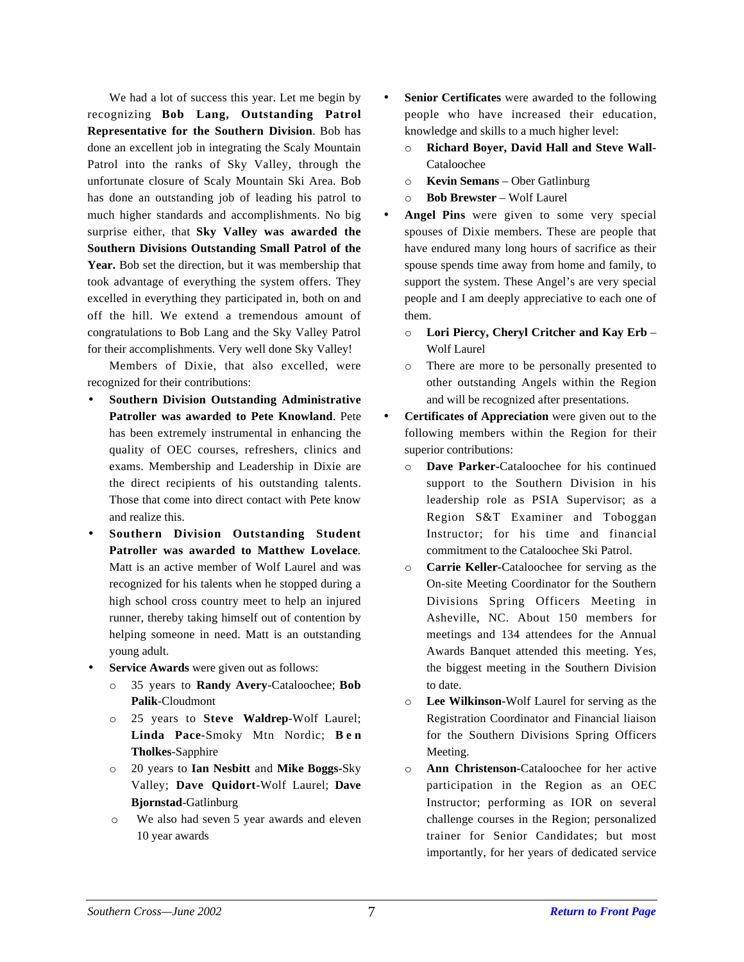We had a lot of success this year. Let me begin by recognizing **Bob Lang, Outstanding Patrol Representative for the Southern Division**. Bob has done an excellent job in integrating the Scaly Mountain Patrol into the ranks of Sky Valley, through the unfortunate closure of Scaly Mountain Ski Area. Bob has done an outstanding job of leading his patrol to much higher standards and accomplishments. No big surprise either, that **Sky Valley was awarded the Southern Divisions Outstanding Small Patrol of the Year.** Bob set the direction, but it was membership that took advantage of everything the system offers. They excelled in everything they participated in, both on and off the hill. We extend a tremendous amount of congratulations to Bob Lang and the Sky Valley Patrol for their accomplishments. Very well done Sky Valley!

Members of Dixie, that also excelled, were recognized for their contributions:

- **Southern Division Outstanding Administrative Patroller was awarded to Pete Knowland**. Pete has been extremely instrumental in enhancing the quality of OEC courses, refreshers, clinics and exams. Membership and Leadership in Dixie are the direct recipients of his outstanding talents. Those that come into direct contact with Pete know and realize this.
- **Southern Division Outstanding Student Patroller was awarded to Matthew Lovelace**. Matt is an active member of Wolf Laurel and was recognized for his talents when he stopped during a high school cross country meet to help an injured runner, thereby taking himself out of contention by helping someone in need. Matt is an outstanding young adult.
- Service Awards were given out as follows:
	- o 35 years to **Randy Avery**-Cataloochee; **Bob Palik**-Cloudmont
	- o 25 years to **Steve Waldrep**-Wolf Laurel; **Linda Pace**-Smoky Mtn Nordic; **Ben Tholkes**-Sapphire
	- o 20 years to **Ian Nesbitt** and **Mike Boggs-**Sky Valley; **Dave Quidort**-Wolf Laurel; **Dave Bjornstad**-Gatlinburg
	- o We also had seven 5 year awards and eleven 10 year awards
- **Senior Certificates** were awarded to the following people who have increased their education, knowledge and skills to a much higher level:
	- o **Richard Boyer, David Hall and Steve Wall-**Cataloochee
	- o **Kevin Semans** Ober Gatlinburg
	- o **Bob Brewster** Wolf Laurel
- Angel Pins were given to some very special spouses of Dixie members. These are people that have endured many long hours of sacrifice as their spouse spends time away from home and family, to support the system. These Angel's are very special people and I am deeply appreciative to each one of them.
	- o **Lori Piercy, Cheryl Critcher and Kay Erb** Wolf Laurel
	- o There are more to be personally presented to other outstanding Angels within the Region and will be recognized after presentations.
- **Certificates of Appreciation** were given out to the following members within the Region for their superior contributions:
	- o **Dave Parker-**Cataloochee for his continued support to the Southern Division in his leadership role as PSIA Supervisor; as a Region S&T Examiner and Toboggan Instructor; for his time and financial commitment to the Cataloochee Ski Patrol.
	- o **Carrie Keller-**Cataloochee for serving as the On-site Meeting Coordinator for the Southern Divisions Spring Officers Meeting in Asheville, NC. About 150 members for meetings and 134 attendees for the Annual Awards Banquet attended this meeting. Yes, the biggest meeting in the Southern Division to date.
	- o **Lee Wilkinson-**Wolf Laurel for serving as the Registration Coordinator and Financial liaison for the Southern Divisions Spring Officers Meeting.
	- o **Ann Christenson-**Cataloochee for her active participation in the Region as an OEC Instructor; performing as IOR on several challenge courses in the Region; personalized trainer for Senior Candidates; but most importantly, for her years of dedicated service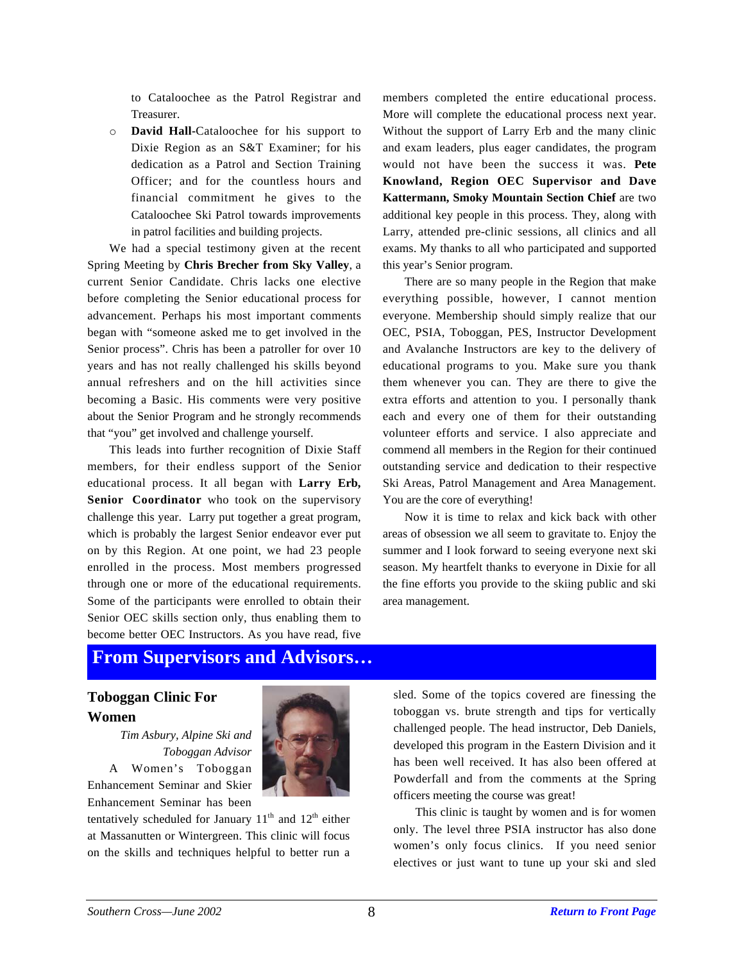to Cataloochee as the Patrol Registrar and Treasurer.

o **David Hall-**Cataloochee for his support to Dixie Region as an S&T Examiner; for his dedication as a Patrol and Section Training Officer; and for the countless hours and financial commitment he gives to the Cataloochee Ski Patrol towards improvements in patrol facilities and building projects.

We had a special testimony given at the recent Spring Meeting by **Chris Brecher from Sky Valley**, a current Senior Candidate. Chris lacks one elective before completing the Senior educational process for advancement. Perhaps his most important comments began with "someone asked me to get involved in the Senior process". Chris has been a patroller for over 10 years and has not really challenged his skills beyond annual refreshers and on the hill activities since becoming a Basic. His comments were very positive about the Senior Program and he strongly recommends that "you" get involved and challenge yourself.

This leads into further recognition of Dixie Staff members, for their endless support of the Senior educational process. It all began with **Larry Erb,** Senior Coordinator who took on the supervisory challenge this year. Larry put together a great program, which is probably the largest Senior endeavor ever put on by this Region. At one point, we had 23 people enrolled in the process. Most members progressed through one or more of the educational requirements. Some of the participants were enrolled to obtain their Senior OEC skills section only, thus enabling them to become better OEC Instructors. As you have read, five

members completed the entire educational process. More will complete the educational process next year. Without the support of Larry Erb and the many clinic and exam leaders, plus eager candidates, the program would not have been the success it was. **Pete Knowland, Region OEC Supervisor and Dave Kattermann, Smoky Mountain Section Chief** are two additional key people in this process. They, along with Larry, attended pre-clinic sessions, all clinics and all exams. My thanks to all who participated and supported this year's Senior program.

There are so many people in the Region that make everything possible, however, I cannot mention everyone. Membership should simply realize that our OEC, PSIA, Toboggan, PES, Instructor Development and Avalanche Instructors are key to the delivery of educational programs to you. Make sure you thank them whenever you can. They are there to give the extra efforts and attention to you. I personally thank each and every one of them for their outstanding volunteer efforts and service. I also appreciate and commend all members in the Region for their continued outstanding service and dedication to their respective Ski Areas, Patrol Management and Area Management. You are the core of everything!

Now it is time to relax and kick back with other areas of obsession we all seem to gravitate to. Enjoy the summer and I look forward to seeing everyone next ski season. My heartfelt thanks to everyone in Dixie for all the fine efforts you provide to the skiing public and ski area management.

### **From Supervisors and Advisors…**

### **Toboggan Clinic For Women**

*Tim Asbury, Alpine Ski and Toboggan Advisor* A Women's Toboggan Enhancement Seminar and Skier Enhancement Seminar has been

tentatively scheduled for January  $11<sup>th</sup>$  and  $12<sup>th</sup>$  either at Massanutten or Wintergreen. This clinic will focus on the skills and techniques helpful to better run a sled. Some of the topics covered are finessing the toboggan vs. brute strength and tips for vertically challenged people. The head instructor, Deb Daniels, developed this program in the Eastern Division and it has been well received. It has also been offered at Powderfall and from the comments at the Spring officers meeting the course was great!

This clinic is taught by women and is for women only. The level three PSIA instructor has also done women's only focus clinics. If you need senior electives or just want to tune up your ski and sled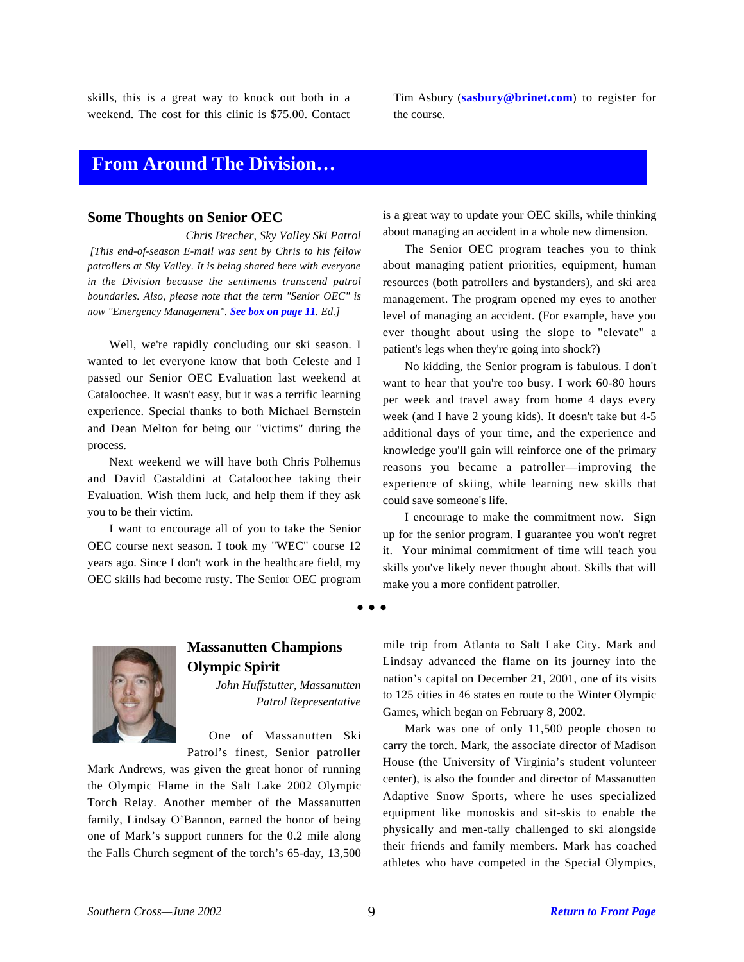skills, this is a great way to knock out both in a weekend. The cost for this clinic is \$75.00. Contact Tim Asbury (**sasbury@brinet.com**) to register for the course.

### **From Around The Division…**

#### **Some Thoughts on Senior OEC**

*Chris Brecher, Sky Valley Ski Patrol [This end-of-season E-mail was sent by Chris to his fellow patrollers at Sky Valley. It is being shared here with everyone in the Division because the sentiments transcend patrol boundaries. Also, please note that the term "Senior OEC" is now "Emergency Management". See box on page 11. Ed.]*

Well, we're rapidly concluding our ski season. I wanted to let everyone know that both Celeste and I passed our Senior OEC Evaluation last weekend at Cataloochee. It wasn't easy, but it was a terrific learning experience. Special thanks to both Michael Bernstein and Dean Melton for being our "victims" during the process.

Next weekend we will have both Chris Polhemus and David Castaldini at Cataloochee taking their Evaluation. Wish them luck, and help them if they ask you to be their victim.

I want to encourage all of you to take the Senior OEC course next season. I took my "WEC" course 12 years ago. Since I don't work in the healthcare field, my OEC skills had become rusty. The Senior OEC program is a great way to update your OEC skills, while thinking about managing an accident in a whole new dimension.

The Senior OEC program teaches you to think about managing patient priorities, equipment, human resources (both patrollers and bystanders), and ski area management. The program opened my eyes to another level of managing an accident. (For example, have you ever thought about using the slope to "elevate" a patient's legs when they're going into shock?)

No kidding, the Senior program is fabulous. I don't want to hear that you're too busy. I work 60-80 hours per week and travel away from home 4 days every week (and I have 2 young kids). It doesn't take but 4-5 additional days of your time, and the experience and knowledge you'll gain will reinforce one of the primary reasons you became a patroller—improving the experience of skiing, while learning new skills that could save someone's life.

I encourage to make the commitment now. Sign up for the senior program. I guarantee you won't regret it. Your minimal commitment of time will teach you skills you've likely never thought about. Skills that will make you a more confident patroller.

### **Massanutten Champions Olympic Spirit**

*John Huffstutter, Massanutten Patrol Representative*

One of Massanutten Ski Patrol's finest, Senior patroller

Mark Andrews, was given the great honor of running the Olympic Flame in the Salt Lake 2002 Olympic Torch Relay. Another member of the Massanutten family, Lindsay O'Bannon, earned the honor of being one of Mark's support runners for the 0.2 mile along the Falls Church segment of the torch's 65-day, 13,500

mile trip from Atlanta to Salt Lake City. Mark and Lindsay advanced the flame on its journey into the nation's capital on December 21, 2001, one of its visits to 125 cities in 46 states en route to the Winter Olympic Games, which began on February 8, 2002.

Mark was one of only 11,500 people chosen to carry the torch. Mark, the associate director of Madison House (the University of Virginia's student volunteer center), is also the founder and director of Massanutten Adaptive Snow Sports, where he uses specialized equipment like monoskis and sit-skis to enable the physically and men-tally challenged to ski alongside their friends and family members. Mark has coached athletes who have competed in the Special Olympics,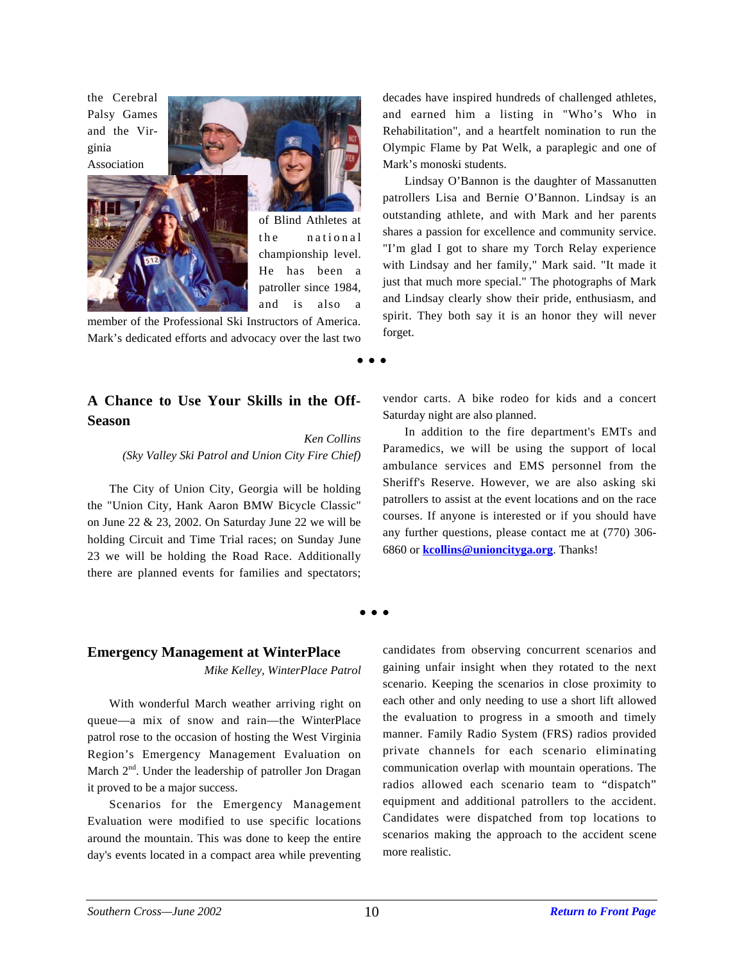the Cerebral Palsy Games and the Virginia



of Blind Athletes at the national championship level. He has been a patroller since 1984, and is also a

member of the Professional Ski Instructors of America. Mark's dedicated efforts and advocacy over the last two

### **A Chance to Use Your Skills in the Off-Season**

*Ken Collins (Sky Valley Ski Patrol and Union City Fire Chief)*

The City of Union City, Georgia will be holding the "Union City, Hank Aaron BMW Bicycle Classic" on June 22 & 23, 2002. On Saturday June 22 we will be holding Circuit and Time Trial races; on Sunday June 23 we will be holding the Road Race. Additionally there are planned events for families and spectators; decades have inspired hundreds of challenged athletes, and earned him a listing in "Who's Who in Rehabilitation", and a heartfelt nomination to run the Olympic Flame by Pat Welk, a paraplegic and one of Mark's monoski students.

Lindsay O'Bannon is the daughter of Massanutten patrollers Lisa and Bernie O'Bannon. Lindsay is an outstanding athlete, and with Mark and her parents shares a passion for excellence and community service. "I'm glad I got to share my Torch Relay experience with Lindsay and her family," Mark said. "It made it just that much more special." The photographs of Mark and Lindsay clearly show their pride, enthusiasm, and spirit. They both say it is an honor they will never forget.

vendor carts. A bike rodeo for kids and a concert Saturday night are also planned.

In addition to the fire department's EMTs and Paramedics, we will be using the support of local ambulance services and EMS personnel from the Sheriff's Reserve. However, we are also asking ski patrollers to assist at the event locations and on the race courses. If anyone is interested or if you should have any further questions, please contact me at (770) 306- 6860 or **kcollins@unioncityga.org**. Thanks!

**• • •**

**• • •**

#### **Emergency Management at WinterPlace**

*Mike Kelley, WinterPlace Patrol*

With wonderful March weather arriving right on queue—a mix of snow and rain—the WinterPlace patrol rose to the occasion of hosting the West Virginia Region's Emergency Management Evaluation on March  $2<sup>nd</sup>$ . Under the leadership of patroller Jon Dragan it proved to be a major success.

Scenarios for the Emergency Management Evaluation were modified to use specific locations around the mountain. This was done to keep the entire day's events located in a compact area while preventing

candidates from observing concurrent scenarios and gaining unfair insight when they rotated to the next scenario. Keeping the scenarios in close proximity to each other and only needing to use a short lift allowed the evaluation to progress in a smooth and timely manner. Family Radio System (FRS) radios provided private channels for each scenario eliminating communication overlap with mountain operations. The radios allowed each scenario team to "dispatch" equipment and additional patrollers to the accident. Candidates were dispatched from top locations to scenarios making the approach to the accident scene more realistic.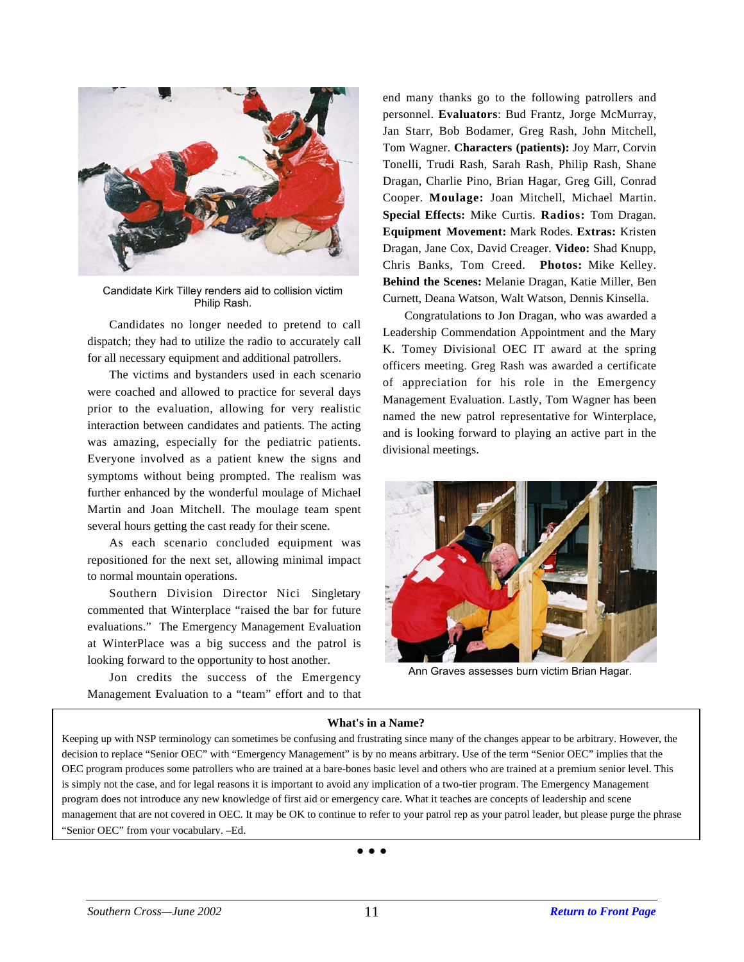

Candidate Kirk Tilley renders aid to collision victim Philip Rash.

Candidates no longer needed to pretend to call dispatch; they had to utilize the radio to accurately call for all necessary equipment and additional patrollers.

The victims and bystanders used in each scenario were coached and allowed to practice for several days prior to the evaluation, allowing for very realistic interaction between candidates and patients. The acting was amazing, especially for the pediatric patients. Everyone involved as a patient knew the signs and symptoms without being prompted. The realism was further enhanced by the wonderful moulage of Michael Martin and Joan Mitchell. The moulage team spent several hours getting the cast ready for their scene.

As each scenario concluded equipment was repositioned for the next set, allowing minimal impact to normal mountain operations.

Southern Division Director Nici Singletary commented that Winterplace "raised the bar for future evaluations." The Emergency Management Evaluation at WinterPlace was a big success and the patrol is looking forward to the opportunity to host another.

Jon credits the success of the Emergency Management Evaluation to a "team" effort and to that end many thanks go to the following patrollers and personnel. **Evaluators**: Bud Frantz, Jorge McMurray, Jan Starr, Bob Bodamer, Greg Rash, John Mitchell, Tom Wagner. **Characters (patients):** Joy Marr, Corvin Tonelli, Trudi Rash, Sarah Rash, Philip Rash, Shane Dragan, Charlie Pino, Brian Hagar, Greg Gill, Conrad Cooper. **Moulage:** Joan Mitchell, Michael Martin. **Special Effects:** Mike Curtis. **Radios:** Tom Dragan. **Equipment Movement:** Mark Rodes. **Extras:** Kristen Dragan, Jane Cox, David Creager. **Video:** Shad Knupp, Chris Banks, Tom Creed. **Photos:** Mike Kelley. **Behind the Scenes:** Melanie Dragan, Katie Miller, Ben Curnett, Deana Watson, Walt Watson, Dennis Kinsella.

Congratulations to Jon Dragan, who was awarded a Leadership Commendation Appointment and the Mary K. Tomey Divisional OEC IT award at the spring officers meeting. Greg Rash was awarded a certificate of appreciation for his role in the Emergency Management Evaluation. Lastly, Tom Wagner has been named the new patrol representative for Winterplace, and is looking forward to playing an active part in the divisional meetings.



Ann Graves assesses burn victim Brian Hagar.

#### **What's in a Name?**

Keeping up with NSP terminology can sometimes be confusing and frustrating since many of the changes appear to be arbitrary. However, the decision to replace "Senior OEC" with "Emergency Management" is by no means arbitrary. Use of the term "Senior OEC" implies that the OEC program produces some patrollers who are trained at a bare-bones basic level and others who are trained at a premium senior level. This is simply not the case, and for legal reasons it is important to avoid any implication of a two-tier program. The Emergency Management program does not introduce any new knowledge of first aid or emergency care. What it teaches are concepts of leadership and scene management that are not covered in OEC. It may be OK to continue to refer to your patrol rep as your patrol leader, but please purge the phrase "Senior OEC" from your vocabulary. –Ed.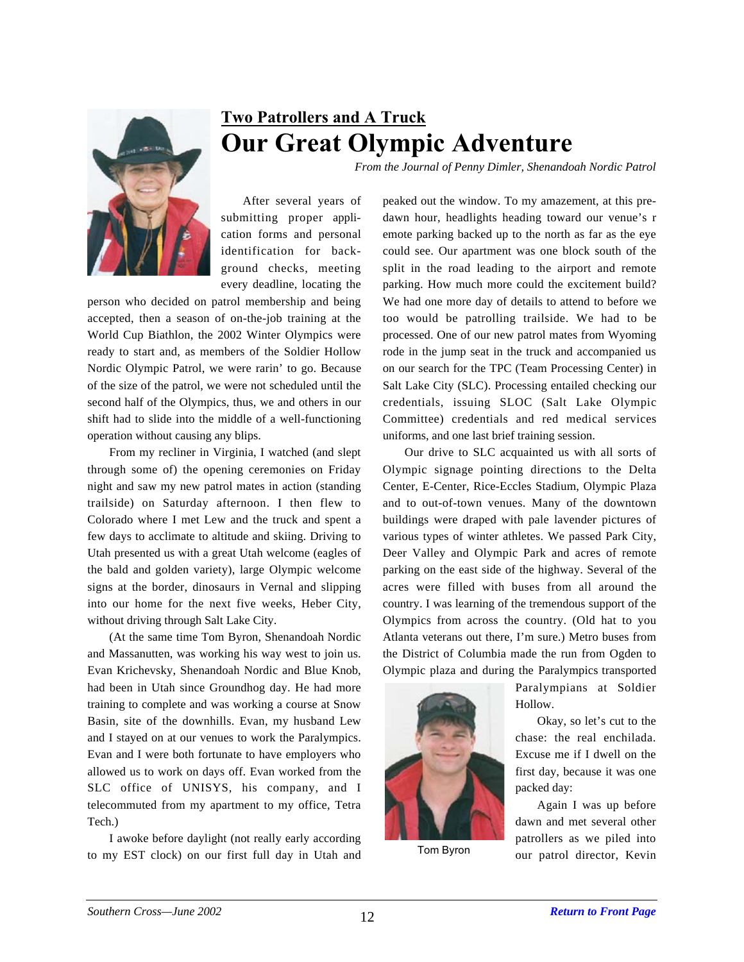

## **Two Patrollers and A Truck Our Great Olympic Adventure**

*From the Journal of Penny Dimler, Shenandoah Nordic Patrol*

After several years of submitting proper application forms and personal identification for background checks, meeting every deadline, locating the

person who decided on patrol membership and being accepted, then a season of on-the-job training at the World Cup Biathlon, the 2002 Winter Olympics were ready to start and, as members of the Soldier Hollow Nordic Olympic Patrol, we were rarin' to go. Because of the size of the patrol, we were not scheduled until the second half of the Olympics, thus, we and others in our shift had to slide into the middle of a well-functioning operation without causing any blips.

From my recliner in Virginia, I watched (and slept through some of) the opening ceremonies on Friday night and saw my new patrol mates in action (standing trailside) on Saturday afternoon. I then flew to Colorado where I met Lew and the truck and spent a few days to acclimate to altitude and skiing. Driving to Utah presented us with a great Utah welcome (eagles of the bald and golden variety), large Olympic welcome signs at the border, dinosaurs in Vernal and slipping into our home for the next five weeks, Heber City, without driving through Salt Lake City.

(At the same time Tom Byron, Shenandoah Nordic and Massanutten, was working his way west to join us. Evan Krichevsky, Shenandoah Nordic and Blue Knob, had been in Utah since Groundhog day. He had more training to complete and was working a course at Snow Basin, site of the downhills. Evan, my husband Lew and I stayed on at our venues to work the Paralympics. Evan and I were both fortunate to have employers who allowed us to work on days off. Evan worked from the SLC office of UNISYS, his company, and I telecommuted from my apartment to my office, Tetra Tech.)

I awoke before daylight (not really early according to my EST clock) on our first full day in Utah and peaked out the window. To my amazement, at this predawn hour, headlights heading toward our venue's r emote parking backed up to the north as far as the eye could see. Our apartment was one block south of the split in the road leading to the airport and remote parking. How much more could the excitement build? We had one more day of details to attend to before we too would be patrolling trailside. We had to be processed. One of our new patrol mates from Wyoming rode in the jump seat in the truck and accompanied us on our search for the TPC (Team Processing Center) in Salt Lake City (SLC). Processing entailed checking our credentials, issuing SLOC (Salt Lake Olympic Committee) credentials and red medical services uniforms, and one last brief training session.

Our drive to SLC acquainted us with all sorts of Olympic signage pointing directions to the Delta Center, E-Center, Rice-Eccles Stadium, Olympic Plaza and to out-of-town venues. Many of the downtown buildings were draped with pale lavender pictures of various types of winter athletes. We passed Park City, Deer Valley and Olympic Park and acres of remote parking on the east side of the highway. Several of the acres were filled with buses from all around the country. I was learning of the tremendous support of the Olympics from across the country. (Old hat to you Atlanta veterans out there, I'm sure.) Metro buses from the District of Columbia made the run from Ogden to Olympic plaza and during the Paralympics transported



Paralympians at Soldier Hollow.

Okay, so let's cut to the chase: the real enchilada. Excuse me if I dwell on the first day, because it was one packed day:

Again I was up before dawn and met several other patrollers as we piled into Tom Byron our patrol director, Kevin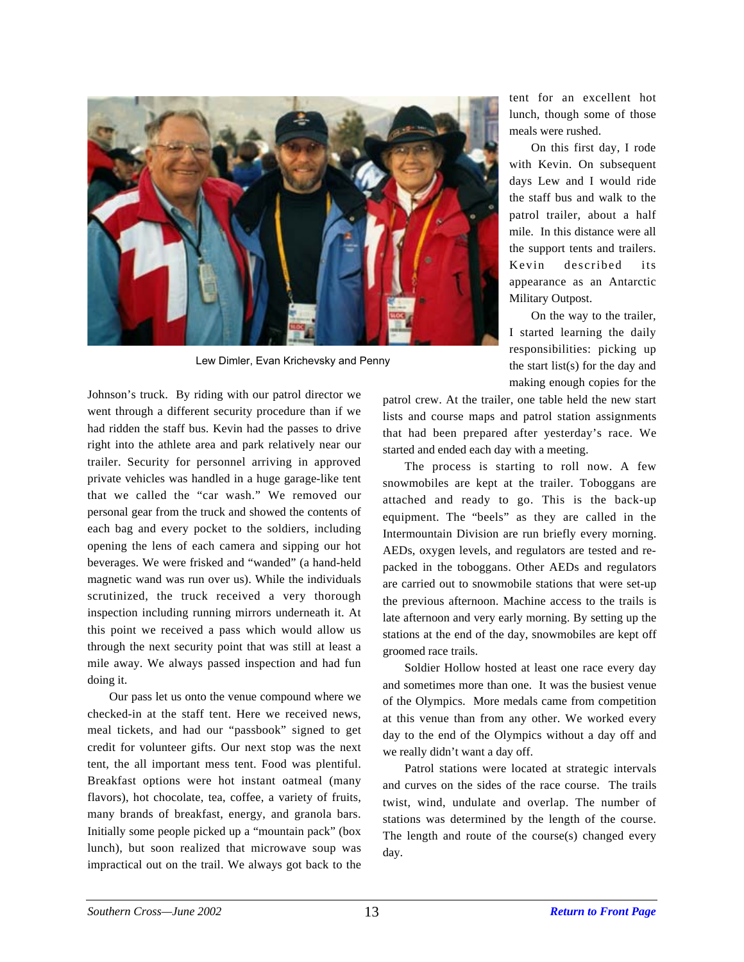

Lew Dimler, Evan Krichevsky and Penny

Johnson's truck. By riding with our patrol director we went through a different security procedure than if we had ridden the staff bus. Kevin had the passes to drive right into the athlete area and park relatively near our trailer. Security for personnel arriving in approved private vehicles was handled in a huge garage-like tent that we called the "car wash." We removed our personal gear from the truck and showed the contents of each bag and every pocket to the soldiers, including opening the lens of each camera and sipping our hot beverages. We were frisked and "wanded" (a hand-held magnetic wand was run over us). While the individuals scrutinized, the truck received a very thorough inspection including running mirrors underneath it. At this point we received a pass which would allow us through the next security point that was still at least a mile away. We always passed inspection and had fun doing it.

Our pass let us onto the venue compound where we checked-in at the staff tent. Here we received news, meal tickets, and had our "passbook" signed to get credit for volunteer gifts. Our next stop was the next tent, the all important mess tent. Food was plentiful. Breakfast options were hot instant oatmeal (many flavors), hot chocolate, tea, coffee, a variety of fruits, many brands of breakfast, energy, and granola bars. Initially some people picked up a "mountain pack" (box lunch), but soon realized that microwave soup was impractical out on the trail. We always got back to the

tent for an excellent hot lunch, though some of those meals were rushed.

On this first day, I rode with Kevin. On subsequent days Lew and I would ride the staff bus and walk to the patrol trailer, about a half mile. In this distance were all the support tents and trailers. Kevin described its appearance as an Antarctic Military Outpost.

On the way to the trailer, I started learning the daily responsibilities: picking up the start list(s) for the day and making enough copies for the

patrol crew. At the trailer, one table held the new start lists and course maps and patrol station assignments that had been prepared after yesterday's race. We started and ended each day with a meeting.

The process is starting to roll now. A few snowmobiles are kept at the trailer. Toboggans are attached and ready to go. This is the back-up equipment. The "beels" as they are called in the Intermountain Division are run briefly every morning. AEDs, oxygen levels, and regulators are tested and repacked in the toboggans. Other AEDs and regulators are carried out to snowmobile stations that were set-up the previous afternoon. Machine access to the trails is late afternoon and very early morning. By setting up the stations at the end of the day, snowmobiles are kept off groomed race trails.

Soldier Hollow hosted at least one race every day and sometimes more than one. It was the busiest venue of the Olympics. More medals came from competition at this venue than from any other. We worked every day to the end of the Olympics without a day off and we really didn't want a day off.

Patrol stations were located at strategic intervals and curves on the sides of the race course. The trails twist, wind, undulate and overlap. The number of stations was determined by the length of the course. The length and route of the course(s) changed every day.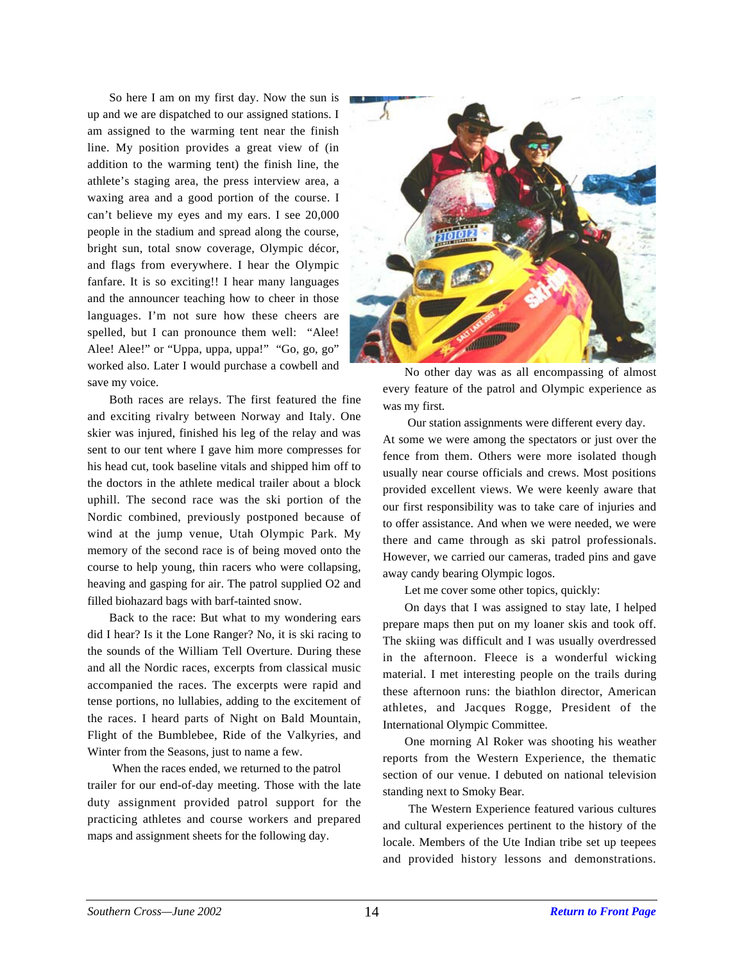So here I am on my first day. Now the sun is up and we are dispatched to our assigned stations. I am assigned to the warming tent near the finish line. My position provides a great view of (in addition to the warming tent) the finish line, the athlete's staging area, the press interview area, a waxing area and a good portion of the course. I can't believe my eyes and my ears. I see 20,000 people in the stadium and spread along the course, bright sun, total snow coverage, Olympic décor, and flags from everywhere. I hear the Olympic fanfare. It is so exciting!! I hear many languages and the announcer teaching how to cheer in those languages. I'm not sure how these cheers are spelled, but I can pronounce them well: "Alee! Alee! Alee!" or "Uppa, uppa, uppa!" "Go, go, go" worked also. Later I would purchase a cowbell and save my voice.

Both races are relays. The first featured the fine and exciting rivalry between Norway and Italy. One skier was injured, finished his leg of the relay and was sent to our tent where I gave him more compresses for his head cut, took baseline vitals and shipped him off to the doctors in the athlete medical trailer about a block uphill. The second race was the ski portion of the Nordic combined, previously postponed because of wind at the jump venue, Utah Olympic Park. My memory of the second race is of being moved onto the course to help young, thin racers who were collapsing, heaving and gasping for air. The patrol supplied O2 and filled biohazard bags with barf-tainted snow.

Back to the race: But what to my wondering ears did I hear? Is it the Lone Ranger? No, it is ski racing to the sounds of the William Tell Overture. During these and all the Nordic races, excerpts from classical music accompanied the races. The excerpts were rapid and tense portions, no lullabies, adding to the excitement of the races. I heard parts of Night on Bald Mountain, Flight of the Bumblebee, Ride of the Valkyries, and Winter from the Seasons, just to name a few.

 When the races ended, we returned to the patrol trailer for our end-of-day meeting. Those with the late duty assignment provided patrol support for the practicing athletes and course workers and prepared maps and assignment sheets for the following day.



No other day was as all encompassing of almost every feature of the patrol and Olympic experience as was my first.

 Our station assignments were different every day. At some we were among the spectators or just over the fence from them. Others were more isolated though usually near course officials and crews. Most positions provided excellent views. We were keenly aware that our first responsibility was to take care of injuries and to offer assistance. And when we were needed, we were there and came through as ski patrol professionals. However, we carried our cameras, traded pins and gave away candy bearing Olympic logos.

Let me cover some other topics, quickly:

On days that I was assigned to stay late, I helped prepare maps then put on my loaner skis and took off. The skiing was difficult and I was usually overdressed in the afternoon. Fleece is a wonderful wicking material. I met interesting people on the trails during these afternoon runs: the biathlon director, American athletes, and Jacques Rogge, President of the International Olympic Committee.

One morning Al Roker was shooting his weather reports from the Western Experience, the thematic section of our venue. I debuted on national television standing next to Smoky Bear.

The Western Experience featured various cultures and cultural experiences pertinent to the history of the locale. Members of the Ute Indian tribe set up teepees and provided history lessons and demonstrations.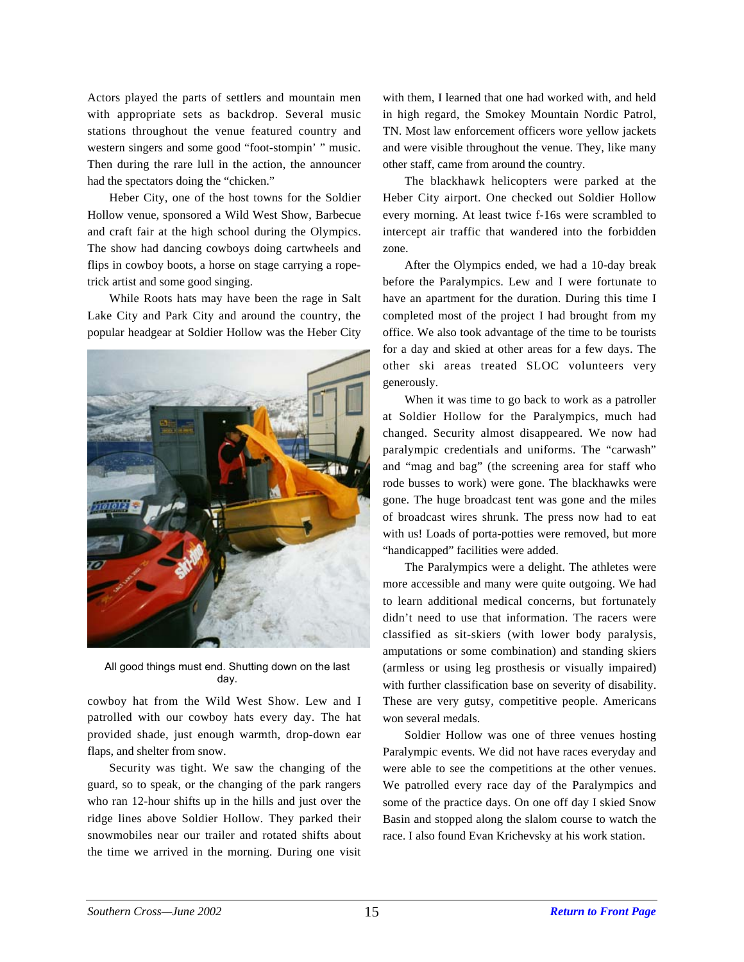Actors played the parts of settlers and mountain men with appropriate sets as backdrop. Several music stations throughout the venue featured country and western singers and some good "foot-stompin' " music. Then during the rare lull in the action, the announcer had the spectators doing the "chicken."

Heber City, one of the host towns for the Soldier Hollow venue, sponsored a Wild West Show, Barbecue and craft fair at the high school during the Olympics. The show had dancing cowboys doing cartwheels and flips in cowboy boots, a horse on stage carrying a ropetrick artist and some good singing.

While Roots hats may have been the rage in Salt Lake City and Park City and around the country, the popular headgear at Soldier Hollow was the Heber City



All good things must end. Shutting down on the last day.

cowboy hat from the Wild West Show. Lew and I patrolled with our cowboy hats every day. The hat provided shade, just enough warmth, drop-down ear flaps, and shelter from snow.

Security was tight. We saw the changing of the guard, so to speak, or the changing of the park rangers who ran 12-hour shifts up in the hills and just over the ridge lines above Soldier Hollow. They parked their snowmobiles near our trailer and rotated shifts about the time we arrived in the morning. During one visit

with them, I learned that one had worked with, and held in high regard, the Smokey Mountain Nordic Patrol, TN. Most law enforcement officers wore yellow jackets and were visible throughout the venue. They, like many other staff, came from around the country.

The blackhawk helicopters were parked at the Heber City airport. One checked out Soldier Hollow every morning. At least twice f-16s were scrambled to intercept air traffic that wandered into the forbidden zone.

After the Olympics ended, we had a 10-day break before the Paralympics. Lew and I were fortunate to have an apartment for the duration. During this time I completed most of the project I had brought from my office. We also took advantage of the time to be tourists for a day and skied at other areas for a few days. The other ski areas treated SLOC volunteers very generously.

When it was time to go back to work as a patroller at Soldier Hollow for the Paralympics, much had changed. Security almost disappeared. We now had paralympic credentials and uniforms. The "carwash" and "mag and bag" (the screening area for staff who rode busses to work) were gone. The blackhawks were gone. The huge broadcast tent was gone and the miles of broadcast wires shrunk. The press now had to eat with us! Loads of porta-potties were removed, but more "handicapped" facilities were added.

The Paralympics were a delight. The athletes were more accessible and many were quite outgoing. We had to learn additional medical concerns, but fortunately didn't need to use that information. The racers were classified as sit-skiers (with lower body paralysis, amputations or some combination) and standing skiers (armless or using leg prosthesis or visually impaired) with further classification base on severity of disability. These are very gutsy, competitive people. Americans won several medals.

Soldier Hollow was one of three venues hosting Paralympic events. We did not have races everyday and were able to see the competitions at the other venues. We patrolled every race day of the Paralympics and some of the practice days. On one off day I skied Snow Basin and stopped along the slalom course to watch the race. I also found Evan Krichevsky at his work station.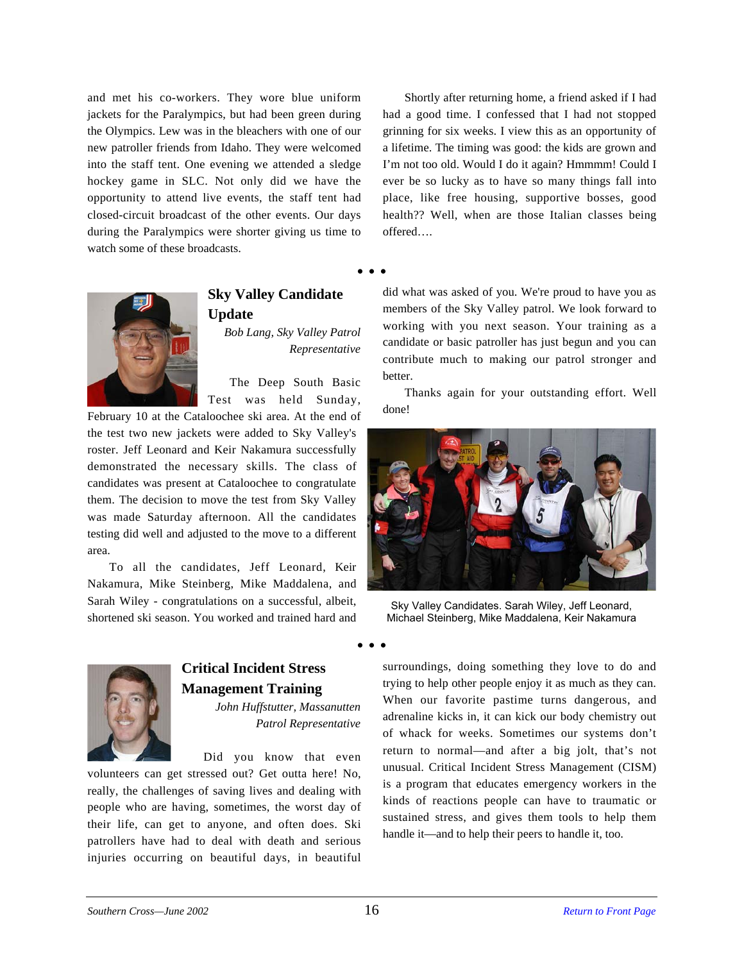and met his co-workers. They wore blue uniform jackets for the Paralympics, but had been green during the Olympics. Lew was in the bleachers with one of our new patroller friends from Idaho. They were welcomed into the staff tent. One evening we attended a sledge hockey game in SLC. Not only did we have the opportunity to attend live events, the staff tent had closed-circuit broadcast of the other events. Our days during the Paralympics were shorter giving us time to watch some of these broadcasts.

Shortly after returning home, a friend asked if I had had a good time. I confessed that I had not stopped grinning for six weeks. I view this as an opportunity of a lifetime. The timing was good: the kids are grown and I'm not too old. Would I do it again? Hmmmm! Could I ever be so lucky as to have so many things fall into place, like free housing, supportive bosses, good health?? Well, when are those Italian classes being offered….

• • •



### **Sky Valley Candidate Update**

*Bob Lang, Sky Valley Patrol Representative*

The Deep South Basic Test was held Sunday,

February 10 at the Cataloochee ski area. At the end of the test two new jackets were added to Sky Valley's roster. Jeff Leonard and Keir Nakamura successfully demonstrated the necessary skills. The class of candidates was present at Cataloochee to congratulate them. The decision to move the test from Sky Valley was made Saturday afternoon. All the candidates testing did well and adjusted to the move to a different area.

To all the candidates, Jeff Leonard, Keir Nakamura, Mike Steinberg, Mike Maddalena, and Sarah Wiley - congratulations on a successful, albeit, shortened ski season. You worked and trained hard and did what was asked of you. We're proud to have you as members of the Sky Valley patrol. We look forward to working with you next season. Your training as a candidate or basic patroller has just begun and you can contribute much to making our patrol stronger and better.

Thanks again for your outstanding effort. Well done!



Sky Valley Candidates. Sarah Wiley, Jeff Leonard, Michael Steinberg, Mike Maddalena, Keir Nakamura



### **Critical Incident Stress Management Training**

*John Huffstutter, Massanutten Patrol Representative*

Did you know that even

volunteers can get stressed out? Get outta here! No, really, the challenges of saving lives and dealing with people who are having, sometimes, the worst day of their life, can get to anyone, and often does. Ski patrollers have had to deal with death and serious injuries occurring on beautiful days, in beautiful

surroundings, doing something they love to do and trying to help other people enjoy it as much as they can. When our favorite pastime turns dangerous, and adrenaline kicks in, it can kick our body chemistry out of whack for weeks. Sometimes our systems don't return to normal—and after a big jolt, that's not unusual. Critical Incident Stress Management (CISM) is a program that educates emergency workers in the kinds of reactions people can have to traumatic or sustained stress, and gives them tools to help them handle it—and to help their peers to handle it, too.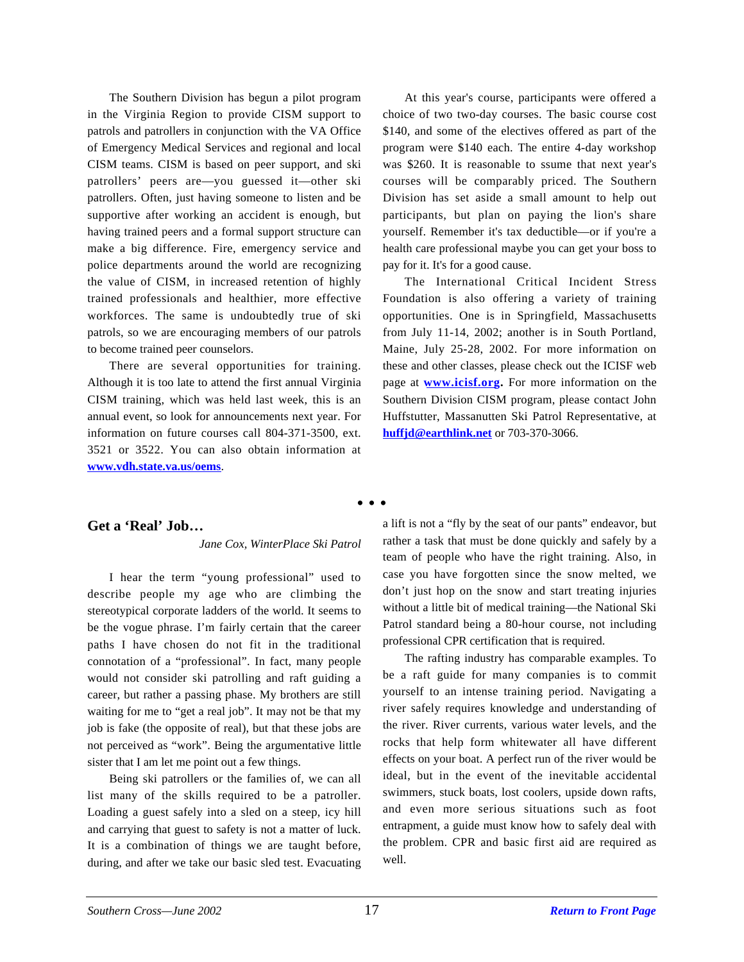The Southern Division has begun a pilot program in the Virginia Region to provide CISM support to patrols and patrollers in conjunction with the VA Office of Emergency Medical Services and regional and local CISM teams. CISM is based on peer support, and ski patrollers' peers are—you guessed it—other ski patrollers. Often, just having someone to listen and be supportive after working an accident is enough, but having trained peers and a formal support structure can make a big difference. Fire, emergency service and police departments around the world are recognizing the value of CISM, in increased retention of highly trained professionals and healthier, more effective workforces. The same is undoubtedly true of ski patrols, so we are encouraging members of our patrols to become trained peer counselors.

There are several opportunities for training. Although it is too late to attend the first annual Virginia CISM training, which was held last week, this is an annual event, so look for announcements next year. For information on future courses call 804-371-3500, ext. 3521 or 3522. You can also obtain information at **www.vdh.state.va.us/oems**.

At this year's course, participants were offered a choice of two two-day courses. The basic course cost \$140, and some of the electives offered as part of the program were \$140 each. The entire 4-day workshop was \$260. It is reasonable to ssume that next year's courses will be comparably priced. The Southern Division has set aside a small amount to help out participants, but plan on paying the lion's share yourself. Remember it's tax deductible—or if you're a health care professional maybe you can get your boss to pay for it. It's for a good cause.

The International Critical Incident Stress Foundation is also offering a variety of training opportunities. One is in Springfield, Massachusetts from July 11-14, 2002; another is in South Portland, Maine, July 25-28, 2002. For more information on these and other classes, please check out the ICISF web page at **www.icisf.org.** For more information on the Southern Division CISM program, please contact John Huffstutter, Massanutten Ski Patrol Representative, at **huffjd@earthlink.net** or 703-370-3066.

#### • • •

#### **Get a 'Real' Job…**

*Jane Cox, WinterPlace Ski Patrol*

I hear the term "young professional" used to describe people my age who are climbing the stereotypical corporate ladders of the world. It seems to be the vogue phrase. I'm fairly certain that the career paths I have chosen do not fit in the traditional connotation of a "professional". In fact, many people would not consider ski patrolling and raft guiding a career, but rather a passing phase. My brothers are still waiting for me to "get a real job". It may not be that my job is fake (the opposite of real), but that these jobs are not perceived as "work". Being the argumentative little sister that I am let me point out a few things.

Being ski patrollers or the families of, we can all list many of the skills required to be a patroller. Loading a guest safely into a sled on a steep, icy hill and carrying that guest to safety is not a matter of luck. It is a combination of things we are taught before, during, and after we take our basic sled test. Evacuating a lift is not a "fly by the seat of our pants" endeavor, but rather a task that must be done quickly and safely by a team of people who have the right training. Also, in case you have forgotten since the snow melted, we don't just hop on the snow and start treating injuries without a little bit of medical training—the National Ski Patrol standard being a 80-hour course, not including professional CPR certification that is required.

The rafting industry has comparable examples. To be a raft guide for many companies is to commit yourself to an intense training period. Navigating a river safely requires knowledge and understanding of the river. River currents, various water levels, and the rocks that help form whitewater all have different effects on your boat. A perfect run of the river would be ideal, but in the event of the inevitable accidental swimmers, stuck boats, lost coolers, upside down rafts, and even more serious situations such as foot entrapment, a guide must know how to safely deal with the problem. CPR and basic first aid are required as well.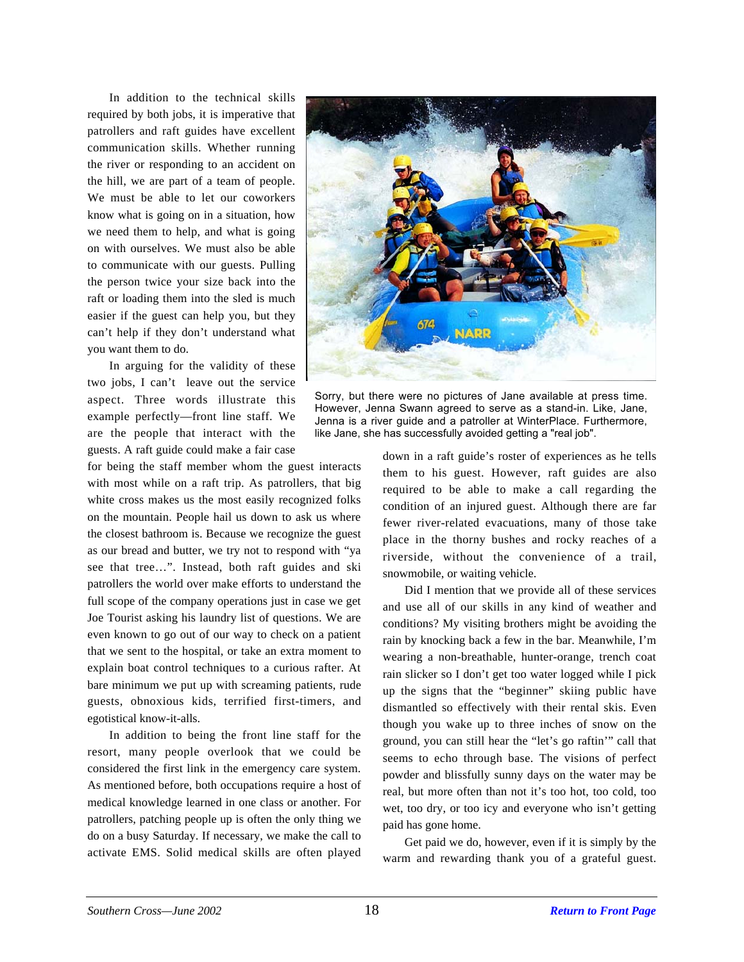In addition to the technical skills required by both jobs, it is imperative that patrollers and raft guides have excellent communication skills. Whether running the river or responding to an accident on the hill, we are part of a team of people. We must be able to let our coworkers know what is going on in a situation, how we need them to help, and what is going on with ourselves. We must also be able to communicate with our guests. Pulling the person twice your size back into the raft or loading them into the sled is much easier if the guest can help you, but they can't help if they don't understand what you want them to do.

In arguing for the validity of these two jobs, I can't leave out the service aspect. Three words illustrate this example perfectly—front line staff. We are the people that interact with the guests. A raft guide could make a fair case

for being the staff member whom the guest interacts with most while on a raft trip. As patrollers, that big white cross makes us the most easily recognized folks on the mountain. People hail us down to ask us where the closest bathroom is. Because we recognize the guest as our bread and butter, we try not to respond with "ya see that tree…". Instead, both raft guides and ski patrollers the world over make efforts to understand the full scope of the company operations just in case we get Joe Tourist asking his laundry list of questions. We are even known to go out of our way to check on a patient that we sent to the hospital, or take an extra moment to explain boat control techniques to a curious rafter. At bare minimum we put up with screaming patients, rude guests, obnoxious kids, terrified first-timers, and egotistical know-it-alls.

In addition to being the front line staff for the resort, many people overlook that we could be considered the first link in the emergency care system. As mentioned before, both occupations require a host of medical knowledge learned in one class or another. For patrollers, patching people up is often the only thing we do on a busy Saturday. If necessary, we make the call to activate EMS. Solid medical skills are often played



Sorry, but there were no pictures of Jane available at press time. However, Jenna Swann agreed to serve as a stand-in. Like, Jane, Jenna is a river guide and a patroller at WinterPlace. Furthermore, like Jane, she has successfully avoided getting a "real job".

down in a raft guide's roster of experiences as he tells them to his guest. However, raft guides are also required to be able to make a call regarding the condition of an injured guest. Although there are far fewer river-related evacuations, many of those take place in the thorny bushes and rocky reaches of a riverside, without the convenience of a trail, snowmobile, or waiting vehicle.

Did I mention that we provide all of these services and use all of our skills in any kind of weather and conditions? My visiting brothers might be avoiding the rain by knocking back a few in the bar. Meanwhile, I'm wearing a non-breathable, hunter-orange, trench coat rain slicker so I don't get too water logged while I pick up the signs that the "beginner" skiing public have dismantled so effectively with their rental skis. Even though you wake up to three inches of snow on the ground, you can still hear the "let's go raftin'" call that seems to echo through base. The visions of perfect powder and blissfully sunny days on the water may be real, but more often than not it's too hot, too cold, too wet, too dry, or too icy and everyone who isn't getting paid has gone home.

Get paid we do, however, even if it is simply by the warm and rewarding thank you of a grateful guest.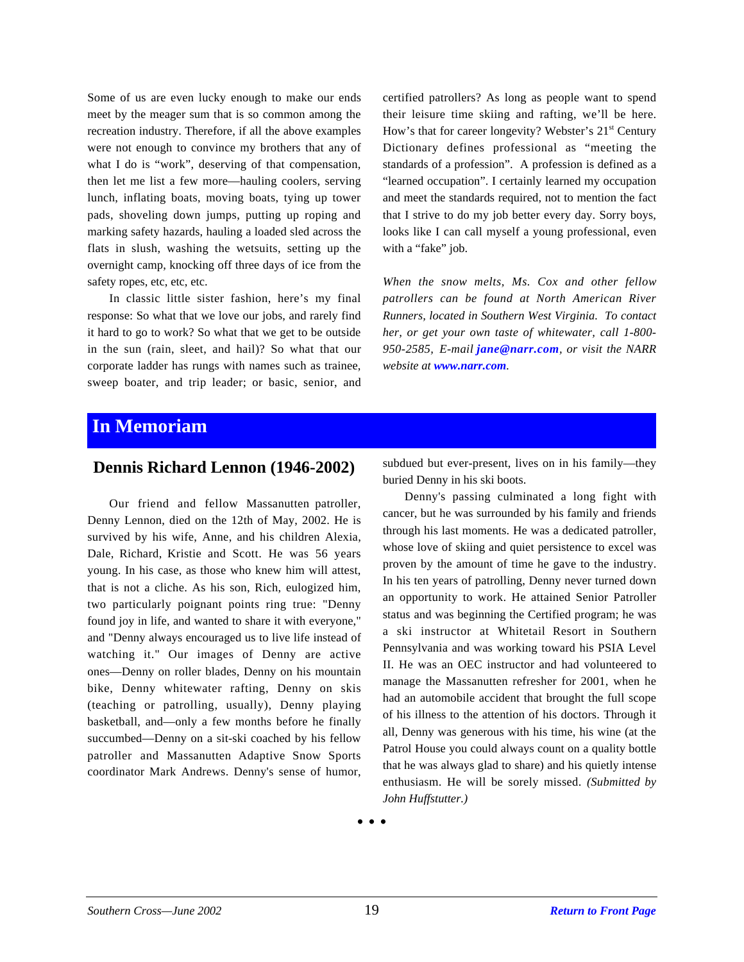Some of us are even lucky enough to make our ends meet by the meager sum that is so common among the recreation industry. Therefore, if all the above examples were not enough to convince my brothers that any of what I do is "work", deserving of that compensation, then let me list a few more—hauling coolers, serving lunch, inflating boats, moving boats, tying up tower pads, shoveling down jumps, putting up roping and marking safety hazards, hauling a loaded sled across the flats in slush, washing the wetsuits, setting up the overnight camp, knocking off three days of ice from the safety ropes, etc, etc, etc.

In classic little sister fashion, here's my final response: So what that we love our jobs, and rarely find it hard to go to work? So what that we get to be outside in the sun (rain, sleet, and hail)? So what that our corporate ladder has rungs with names such as trainee, sweep boater, and trip leader; or basic, senior, and certified patrollers? As long as people want to spend their leisure time skiing and rafting, we'll be here. How's that for career longevity? Webster's 21<sup>st</sup> Century Dictionary defines professional as "meeting the standards of a profession". A profession is defined as a "learned occupation". I certainly learned my occupation and meet the standards required, not to mention the fact that I strive to do my job better every day. Sorry boys, looks like I can call myself a young professional, even with a "fake" job.

*When the snow melts, Ms. Cox and other fellow patrollers can be found at North American River Runners, located in Southern West Virginia. To contact her, or get your own taste of whitewater, call 1-800- 950-2585, E-mail jane@narr.com, or visit the NARR website at www.narr.com.*

### **In Memoriam**

### **Dennis Richard Lennon (1946-2002)**

Our friend and fellow Massanutten patroller, Denny Lennon, died on the 12th of May, 2002. He is survived by his wife, Anne, and his children Alexia, Dale, Richard, Kristie and Scott. He was 56 years young. In his case, as those who knew him will attest, that is not a cliche. As his son, Rich, eulogized him, two particularly poignant points ring true: "Denny found joy in life, and wanted to share it with everyone," and "Denny always encouraged us to live life instead of watching it." Our images of Denny are active ones—Denny on roller blades, Denny on his mountain bike, Denny whitewater rafting, Denny on skis (teaching or patrolling, usually), Denny playing basketball, and—only a few months before he finally succumbed—Denny on a sit-ski coached by his fellow patroller and Massanutten Adaptive Snow Sports coordinator Mark Andrews. Denny's sense of humor,

subdued but ever-present, lives on in his family—they buried Denny in his ski boots.

Denny's passing culminated a long fight with cancer, but he was surrounded by his family and friends through his last moments. He was a dedicated patroller, whose love of skiing and quiet persistence to excel was proven by the amount of time he gave to the industry. In his ten years of patrolling, Denny never turned down an opportunity to work. He attained Senior Patroller status and was beginning the Certified program; he was a ski instructor at Whitetail Resort in Southern Pennsylvania and was working toward his PSIA Level II. He was an OEC instructor and had volunteered to manage the Massanutten refresher for 2001, when he had an automobile accident that brought the full scope of his illness to the attention of his doctors. Through it all, Denny was generous with his time, his wine (at the Patrol House you could always count on a quality bottle that he was always glad to share) and his quietly intense enthusiasm. He will be sorely missed. *(Submitted by John Huffstutter.)*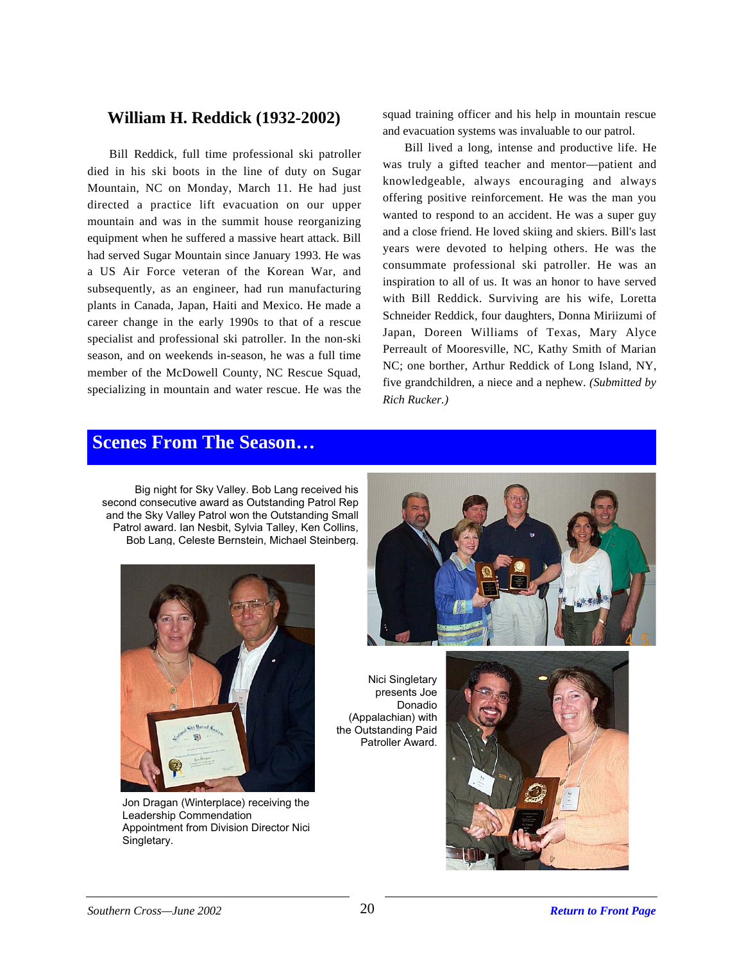### **William H. Reddick (1932-2002)**

Bill Reddick, full time professional ski patroller died in his ski boots in the line of duty on Sugar Mountain, NC on Monday, March 11. He had just directed a practice lift evacuation on our upper mountain and was in the summit house reorganizing equipment when he suffered a massive heart attack. Bill had served Sugar Mountain since January 1993. He was a US Air Force veteran of the Korean War, and subsequently, as an engineer, had run manufacturing plants in Canada, Japan, Haiti and Mexico. He made a career change in the early 1990s to that of a rescue specialist and professional ski patroller. In the non-ski season, and on weekends in-season, he was a full time member of the McDowell County, NC Rescue Squad, specializing in mountain and water rescue. He was the

squad training officer and his help in mountain rescue and evacuation systems was invaluable to our patrol.

Bill lived a long, intense and productive life. He was truly a gifted teacher and mentor—patient and knowledgeable, always encouraging and always offering positive reinforcement. He was the man you wanted to respond to an accident. He was a super guy and a close friend. He loved skiing and skiers. Bill's last years were devoted to helping others. He was the consummate professional ski patroller. He was an inspiration to all of us. It was an honor to have served with Bill Reddick. Surviving are his wife, Loretta Schneider Reddick, four daughters, Donna Miriizumi of Japan, Doreen Williams of Texas, Mary Alyce Perreault of Mooresville, NC, Kathy Smith of Marian NC; one borther, Arthur Reddick of Long Island, NY, five grandchildren, a niece and a nephew. *(Submitted by Rich Rucker.)*

### **Scenes From The Season…**

Big night for Sky Valley. Bob Lang received his second consecutive award as Outstanding Patrol Rep and the Sky Valley Patrol won the Outstanding Small Patrol award. Ian Nesbit, Sylvia Talley, Ken Collins, Bob Lang, Celeste Bernstein, Michael Steinberg.



Jon Dragan (Winterplace) receiving the Leadership Commendation Appointment from Division Director Nici Singletary.



Nici Singletary presents Joe Donadio (Appalachian) with the Outstanding Paid Patroller Award.

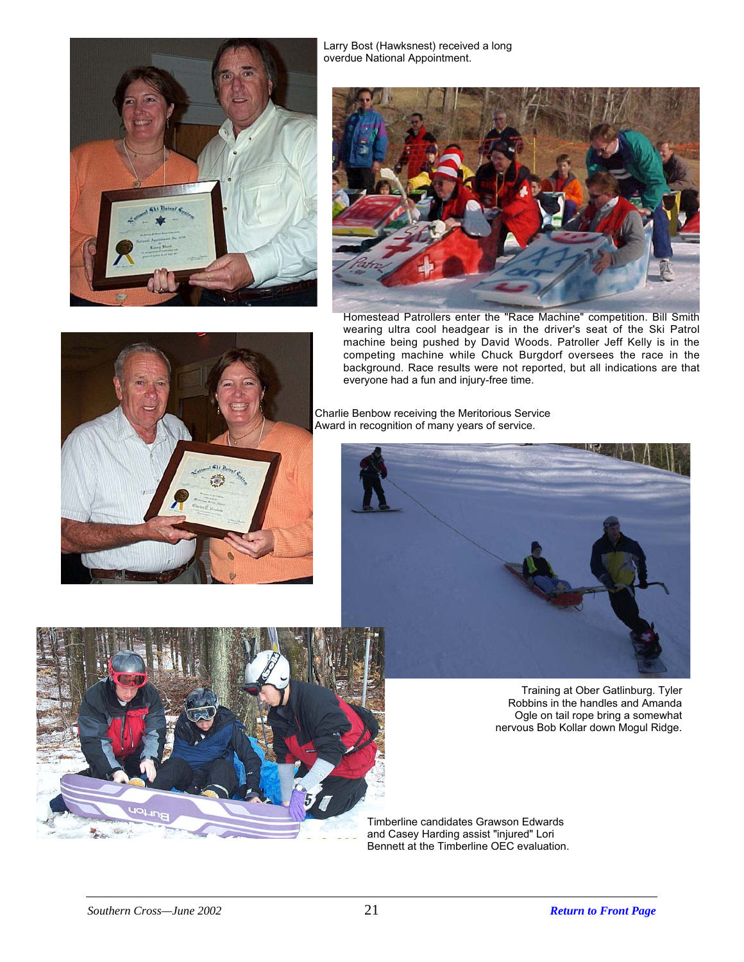

Larry Bost (Hawksnest) received a long overdue National Appointment.



Homestead Patrollers enter the "Race Machine" competition. Bill Smith wearing ultra cool headgear is in the driver's seat of the Ski Patrol machine being pushed by David Woods. Patroller Jeff Kelly is in the competing machine while Chuck Burgdorf oversees the race in the background. Race results were not reported, but all indications are that everyone had a fun and injury-free time.





Training at Ober Gatlinburg. Tyler Robbins in the handles and Amanda Ogle on tail rope bring a somewhat nervous Bob Kollar down Mogul Ridge.

Timberline candidates Grawson Edwards and Casey Harding assist "injured" Lori Bennett at the Timberline OEC evaluation.





*Southern Cross—June 2002* 21 *[Return to Front Page](#page-0-0)*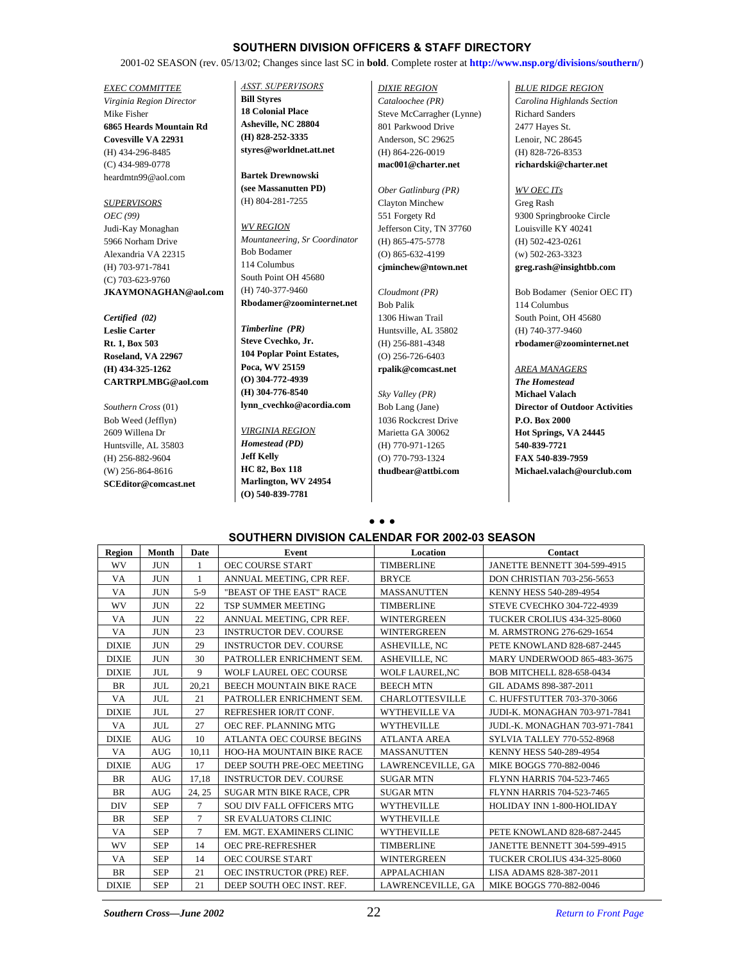#### **SOUTHERN DIVISION OFFICERS & STAFF DIRECTORY**

2001-02 SEASON (rev. 05/13/02; Changes since last SC in **bold**. Complete roster at **http://www.nsp.org/divisions/southern/**)

*EXEC COMMITTEE Virginia Region Director* Mike Fisher **6865 Heards Mountain Rd Covesville VA 22931** (H) 434-296-8485 (C) 434-989-0778 heardmtn99@aol.com

*SUPERVISORS OEC (99)* Judi-Kay Monaghan 5966 Norham Drive Alexandria VA 22315 (H) 703-971-7841 (C) 703-623-9760 **JKAYMONAGHAN@aol.com**

#### *Certified (02)* **Leslie Carter Rt. 1, Box 503 Roseland, VA 22967 (H) 434-325-1262 CARTRPLMBG@aol.com**

*Southern Cross* (01) Bob Weed (Jefflyn) 2609 Willena Dr Huntsville, AL 35803 (H) 256-882-9604 (W) 256-864-8616 **SCEditor@comcast.net** *ASST. SUPERVISORS* **Bill Styres 18 Colonial Place**

**Asheville, NC 28804 (H) 828-252-3335 styres@worldnet.att.net**

**Bartek Drewnowski (see Massanutten PD)** (H) 804-281-7255

*WV REGION Mountaneering, Sr Coordinator* Bob Bodamer 114 Columbus South Point OH 45680 (H) 740-377-9460 **Rbodamer@zoominternet.net**

*Timberline (PR)* **Steve Cvechko, Jr. 104 Poplar Point Estates, Poca, WV 25159 (O) 304-772-4939 (H) 304-776-8540 lynn\_cvechko@acordia.com**

*VIRGINIA REGION Homestead (PD)* **Jeff Kelly HC 82, Box 118 Marlington, WV 24954 (O) 540-839-7781**

*DIXIE REGION Cataloochee (PR)* Steve McCarragher (Lynne) 801 Parkwood Drive Anderson, SC 29625 (H) 864-226-0019 **mac001@charter.net**

*Ober Gatlinburg (PR)* Clayton Minchew 551 Forgety Rd Jefferson City, TN 37760 (H) 865-475-5778 (O) 865-632-4199 **cjminchew@ntown.net**

*Cloudmont (PR)* Bob Palik 1306 Hiwan Trail Huntsville, AL 35802 (H) 256-881-4348 (O) 256-726-6403 **rpalik@comcast.net**

*Sky Valley (PR)* Bob Lang (Jane) 1036 Rockcrest Drive Marietta GA 30062 (H) 770-971-1265 (O) 770-793-1324 **thudbear@attbi.com**

#### *BLUE RIDGE REGION*

*Carolina Highlands Section* Richard Sanders 2477 Hayes St. Lenoir, NC 28645 (H) 828-726-8353 **richardski@charter.net**

#### *WV OEC ITs*

Greg Rash 9300 Springbrooke Circle Louisville KY 40241 (H) 502-423-0261 (w) 502-263-3323 **greg.rash@insightbb.com**

Bob Bodamer (Senior OEC IT) 114 Columbus South Point, OH 45680 (H) 740-377-9460 **rbodamer@zoominternet.net**

#### *AREA MANAGERS*

*The Homestead* **Michael Valach Director of Outdoor Activities P.O. Box 2000 Hot Springs, VA 24445 540-839-7721 FAX 540-839-7959 Michael.valach@ourclub.com**

#### **• • • SOUTHERN DIVISION CALENDAR FOR 2002-03 SEASON**

| Region       | Month      | Date   | Event                            | Location               | Contact                               |
|--------------|------------|--------|----------------------------------|------------------------|---------------------------------------|
| WV           | <b>JUN</b> | 1      | <b>OEC COURSE START</b>          | <b>TIMBERLINE</b>      | <b>JANETTE BENNETT 304-599-4915</b>   |
| VA           | <b>JUN</b> | 1      | ANNUAL MEETING, CPR REF.         | <b>BRYCE</b>           | DON CHRISTIAN 703-256-5653            |
| VA           | <b>JUN</b> | $5-9$  | "BEAST OF THE EAST" RACE         | <b>MASSANUTTEN</b>     | KENNY HESS 540-289-4954               |
| WV           | <b>JUN</b> | 22     | <b>TSP SUMMER MEETING</b>        | <b>TIMBERLINE</b>      | STEVE CVECHKO 304-722-4939            |
| VA           | <b>JUN</b> | 22     | ANNUAL MEETING, CPR REF.         | <b>WINTERGREEN</b>     | TUCKER CROLIUS 434-325-8060           |
| VA           | <b>JUN</b> | 23     | <b>INSTRUCTOR DEV. COURSE</b>    | <b>WINTERGREEN</b>     | M. ARMSTRONG 276-629-1654             |
| <b>DIXIE</b> | <b>JUN</b> | 29     | <b>INSTRUCTOR DEV. COURSE</b>    | <b>ASHEVILLE, NC</b>   | PETE KNOWLAND 828-687-2445            |
| <b>DIXIE</b> | <b>JUN</b> | 30     | PATROLLER ENRICHMENT SEM.        | <b>ASHEVILLE, NC</b>   | <b>MARY UNDERWOOD 865-483-3675</b>    |
| <b>DIXIE</b> | <b>JUL</b> | 9      | <b>WOLF LAUREL OEC COURSE</b>    | <b>WOLF LAUREL.NC</b>  | <b>BOB MITCHELL 828-658-0434</b>      |
| BR           | <b>JUL</b> | 20,21  | <b>BEECH MOUNTAIN BIKE RACE</b>  | <b>BEECH MTN</b>       | GIL ADAMS 898-387-2011                |
| VA           | <b>JUL</b> | 21     | PATROLLER ENRICHMENT SEM.        | <b>CHARLOTTESVILLE</b> | C. HUFFSTUTTER 703-370-3066           |
| <b>DIXIE</b> | <b>JUL</b> | 27     | REFRESHER IOR/IT CONF.           | <b>WYTHEVILLE VA</b>   | JUDI-K. MONAGHAN 703-971-7841         |
| VA           | <b>JUL</b> | 27     | OEC REF. PLANNING MTG            | <b>WYTHEVILLE</b>      | <b>JUDI.-K. MONAGHAN 703-971-7841</b> |
| <b>DIXIE</b> | <b>AUG</b> | 10     | ATLANTA OEC COURSE BEGINS        | <b>ATLANTA AREA</b>    | SYLVIA TALLEY 770-552-8968            |
| VA           | <b>AUG</b> | 10,11  | HOO-HA MOUNTAIN BIKE RACE        | <b>MASSANUTTEN</b>     | KENNY HESS 540-289-4954               |
| <b>DIXIE</b> | <b>AUG</b> | 17     | DEEP SOUTH PRE-OEC MEETING       | LAWRENCEVILLE, GA      | MIKE BOGGS 770-882-0046               |
| <b>BR</b>    | <b>AUG</b> | 17,18  | <b>INSTRUCTOR DEV. COURSE</b>    | <b>SUGAR MTN</b>       | FLYNN HARRIS 704-523-7465             |
| BR           | <b>AUG</b> | 24, 25 | <b>SUGAR MTN BIKE RACE, CPR</b>  | <b>SUGAR MTN</b>       | FLYNN HARRIS 704-523-7465             |
| <b>DIV</b>   | <b>SEP</b> | 7      | <b>SOU DIV FALL OFFICERS MTG</b> | WYTHEVILLE             | HOLIDAY INN 1-800-HOLIDAY             |
| BR           | <b>SEP</b> | 7      | SR EVALUATORS CLINIC             | <b>WYTHEVILLE</b>      |                                       |
| <b>VA</b>    | <b>SEP</b> | $\tau$ | EM. MGT. EXAMINERS CLINIC        | <b>WYTHEVILLE</b>      | PETE KNOWLAND 828-687-2445            |
| WV           | <b>SEP</b> | 14     | OEC PRE-REFRESHER                | <b>TIMBERLINE</b>      | JANETTE BENNETT 304-599-4915          |
| VA           | <b>SEP</b> | 14     | OEC COURSE START                 | <b>WINTERGREEN</b>     | TUCKER CROLIUS 434-325-8060           |
| BR           | <b>SEP</b> | 21     | OEC INSTRUCTOR (PRE) REF.        | <b>APPALACHIAN</b>     | LISA ADAMS 828-387-2011               |
| <b>DIXIE</b> | <b>SEP</b> | 21     | DEEP SOUTH OEC INST. REF.        | LAWRENCEVILLE, GA      | MIKE BOGGS 770-882-0046               |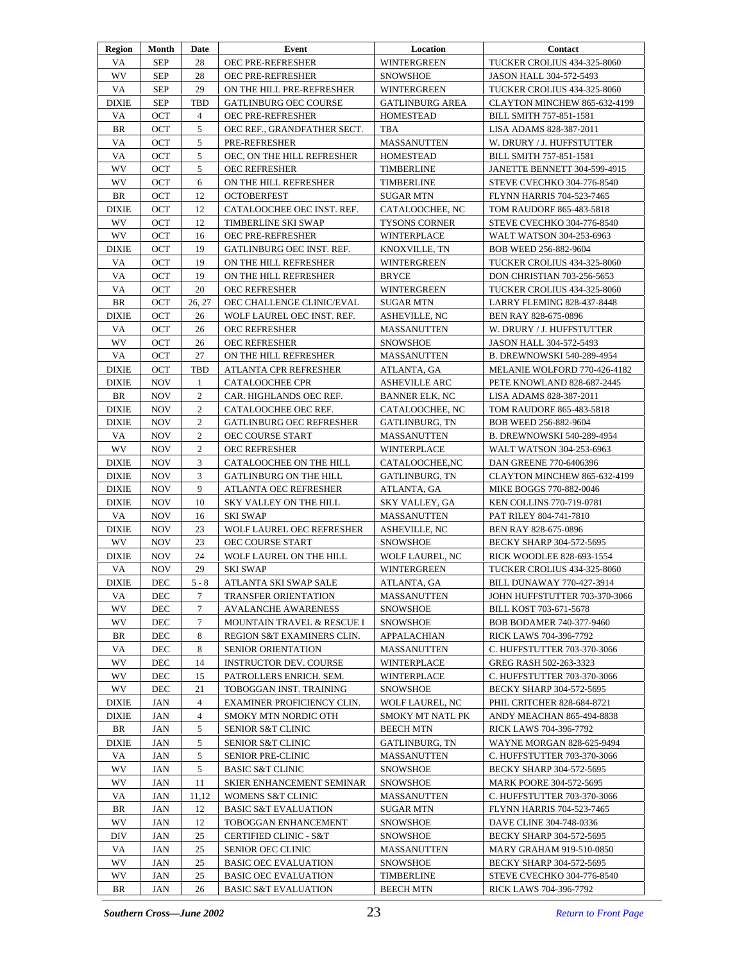| Region       | Month      | Date           | Event                           | Location               | Contact                           |
|--------------|------------|----------------|---------------------------------|------------------------|-----------------------------------|
| VA           | <b>SEP</b> | 28             | <b>OEC PRE-REFRESHER</b>        | <b>WINTERGREEN</b>     | TUCKER CROLIUS 434-325-8060       |
| WV           | <b>SEP</b> | 28             | <b>OEC PRE-REFRESHER</b>        | <b>SNOWSHOE</b>        | JASON HALL 304-572-5493           |
| VA           | <b>SEP</b> | 29             | ON THE HILL PRE-REFRESHER       | <b>WINTERGREEN</b>     | TUCKER CROLIUS 434-325-8060       |
| <b>DIXIE</b> | <b>SEP</b> | TBD            | <b>GATLINBURG OEC COURSE</b>    | <b>GATLINBURG AREA</b> | CLAYTON MINCHEW 865-632-4199      |
| VA           | OCT        | 4              | OEC PRE-REFRESHER               | <b>HOMESTEAD</b>       | BILL SMITH 757-851-1581           |
| BR           | OCT        | 5              | OEC REF., GRANDFATHER SECT.     | TBA                    | LISA ADAMS 828-387-2011           |
| VA           | OCT        | 5              | PRE-REFRESHER                   | <b>MASSANUTTEN</b>     | W. DRURY / J. HUFFSTUTTER         |
| VA           | OCT        | 5              | OEC, ON THE HILL REFRESHER      | <b>HOMESTEAD</b>       | BILL SMITH 757-851-1581           |
| WV           | <b>OCT</b> | 5              | <b>OEC REFRESHER</b>            | TIMBERLINE             | JANETTE BENNETT 304-599-4915      |
| WV           | OCT        | 6              | ON THE HILL REFRESHER           | TIMBERLINE             | STEVE CVECHKO 304-776-8540        |
| BR           | OCT        | 12             | <b>OCTOBERFEST</b>              | <b>SUGAR MTN</b>       | FLYNN HARRIS 704-523-7465         |
| <b>DIXIE</b> | OCT        | 12             | CATALOOCHEE OEC INST. REF.      | CATALOOCHEE, NC        | TOM RAUDORF 865-483-5818          |
| WV           | OCT        | 12             | TIMBERLINE SKI SWAP             | <b>TYSONS CORNER</b>   | STEVE CVECHKO 304-776-8540        |
| WV           | OCT        | 16             | OEC PRE-REFRESHER               | WINTERPLACE            | WALT WATSON 304-253-6963          |
| <b>DIXIE</b> | OCT        | 19             | GATLINBURG OEC INST. REF.       | KNOXVILLE, TN          | BOB WEED 256-882-9604             |
| VA           | OCT        | 19             | ON THE HILL REFRESHER           | WINTERGREEN            | TUCKER CROLIUS 434-325-8060       |
| VA           | OCT        | 19             | ON THE HILL REFRESHER           | <b>BRYCE</b>           | <b>DON CHRISTIAN 703-256-5653</b> |
| VA           | OCT        | 20             | <b>OEC REFRESHER</b>            | WINTERGREEN            | TUCKER CROLIUS 434-325-8060       |
| BR           | OCT        | 26, 27         | OEC CHALLENGE CLINIC/EVAL       | <b>SUGAR MTN</b>       | LARRY FLEMING 828-437-8448        |
| <b>DIXIE</b> | OCT        | 26             | WOLF LAUREL OEC INST. REF.      | ASHEVILLE, NC          | BEN RAY 828-675-0896              |
| VA           | OCT        | 26             | <b>OEC REFRESHER</b>            | MASSANUTTEN            | W. DRURY / J. HUFFSTUTTER         |
| WV           | OCT        | 26             |                                 | <b>SNOWSHOE</b>        |                                   |
|              |            |                | <b>OEC REFRESHER</b>            |                        | JASON HALL 304-572-5493           |
| VA           | OCT        | 27             | ON THE HILL REFRESHER           | MASSANUTTEN            | B. DREWNOWSKI 540-289-4954        |
| <b>DIXIE</b> | OCT        | TBD            | ATLANTA CPR REFRESHER           | ATLANTA, GA            | MELANIE WOLFORD 770-426-4182      |
| <b>DIXIE</b> | <b>NOV</b> | 1              | <b>CATALOOCHEE CPR</b>          | <b>ASHEVILLE ARC</b>   | PETE KNOWLAND 828-687-2445        |
| BR           | <b>NOV</b> | 2              | CAR. HIGHLANDS OEC REF.         | <b>BANNER ELK, NC</b>  | LISA ADAMS 828-387-2011           |
| <b>DIXIE</b> | <b>NOV</b> | $\overline{c}$ | CATALOOCHEE OEC REF.            | CATALOOCHEE, NC        | TOM RAUDORF 865-483-5818          |
| DIXIE        | <b>NOV</b> | 2              | <b>GATLINBURG OEC REFRESHER</b> | GATLINBURG, TN         | BOB WEED 256-882-9604             |
| VA           | NOV        | 2              | OEC COURSE START                | <b>MASSANUTTEN</b>     | B. DREWNOWSKI 540-289-4954        |
| <b>WV</b>    | NOV        | $\overline{c}$ | <b>OEC REFRESHER</b>            | <b>WINTERPLACE</b>     | WALT WATSON 304-253-6963          |
| <b>DIXIE</b> | <b>NOV</b> | 3              | CATALOOCHEE ON THE HILL         | CATALOOCHEE, NC        | DAN GREENE 770-6406396            |
| <b>DIXIE</b> | <b>NOV</b> | 3              | <b>GATLINBURG ON THE HILL</b>   | GATLINBURG, TN         | CLAYTON MINCHEW 865-632-4199      |
| <b>DIXIE</b> | <b>NOV</b> | 9              | ATLANTA OEC REFRESHER           | ATLANTA, GA            | MIKE BOGGS 770-882-0046           |
| <b>DIXIE</b> | <b>NOV</b> | 10             | SKY VALLEY ON THE HILL          | SKY VALLEY, GA         | KEN COLLINS 770-719-0781          |
| VA           | NOV        | 16             | <b>SKI SWAP</b>                 | <b>MASSANUTTEN</b>     | PAT RILEY 804-741-7810            |
| DIXIE        | <b>NOV</b> | 23             | WOLF LAUREL OEC REFRESHER       | ASHEVILLE, NC          | BEN RAY 828-675-0896              |
| <b>WV</b>    | <b>NOV</b> | 23             | <b>OEC COURSE START</b>         | <b>SNOWSHOE</b>        | BECKY SHARP 304-572-5695          |
| <b>DIXIE</b> | <b>NOV</b> | 24             | WOLF LAUREL ON THE HILL         | WOLF LAUREL, NC        | RICK WOODLEE 828-693-1554         |
| VA           | <b>NOV</b> | 29             | <b>SKI SWAP</b>                 | <b>WINTERGREEN</b>     | TUCKER CROLIUS 434-325-8060       |
| <b>DIXIE</b> | DEC        | $5 - 8$        | ATLANTA SKI SWAP SALE           | ATLANTA, GA            | BILL DUNAWAY 770-427-3914         |
| VA           | DEC        | 7              | TRANSFER ORIENTATION            | <b>MASSANUTTEN</b>     | JOHN HUFFSTUTTER 703-370-3066     |
| WV           | DEC        | 7              | <b>AVALANCHE AWARENESS</b>      | <b>SNOWSHOE</b>        | BILL KOST 703-671-5678            |
| WV           | DEC        | 7              | MOUNTAIN TRAVEL & RESCUE I      | <b>SNOWSHOE</b>        | BOB BODAMER 740-377-9460          |
| <b>BR</b>    | DEC        | 8              | REGION S&T EXAMINERS CLIN.      | APPALACHIAN            | RICK LAWS 704-396-7792            |
| VA           | DEC        | 8              | SENIOR ORIENTATION              | <b>MASSANUTTEN</b>     | C. HUFFSTUTTER 703-370-3066       |
| WV           | DEC        | 14             | <b>INSTRUCTOR DEV. COURSE</b>   | WINTERPLACE            | GREG RASH 502-263-3323            |
| WV           | DEC        | 15             | PATROLLERS ENRICH. SEM.         | WINTERPLACE            | C. HUFFSTUTTER 703-370-3066       |
| <b>WV</b>    | DEC        | 21             | TOBOGGAN INST. TRAINING         | <b>SNOWSHOE</b>        | BECKY SHARP 304-572-5695          |
| <b>DIXIE</b> | JAN        | 4              | EXAMINER PROFICIENCY CLIN.      | WOLF LAUREL, NC        | PHIL CRITCHER 828-684-8721        |
| <b>DIXIE</b> | JAN        | 4              | SMOKY MTN NORDIC OTH            | SMOKY MT NATL PK       | ANDY MEACHAN 865-494-8838         |
| BR           | JAN        | 5              | SENIOR S&T CLINIC               | <b>BEECH MTN</b>       | RICK LAWS 704-396-7792            |
| <b>DIXIE</b> | JAN        | 5              | <b>SENIOR S&amp;T CLINIC</b>    | GATLINBURG, TN         | WAYNE MORGAN 828-625-9494         |
| VA           | JAN        | 5              | <b>SENIOR PRE-CLINIC</b>        | <b>MASSANUTTEN</b>     | C. HUFFSTUTTER 703-370-3066       |
| WV           | JAN        | 5              | <b>BASIC S&amp;T CLINIC</b>     | <b>SNOWSHOE</b>        | BECKY SHARP 304-572-5695          |
| WV           | JAN        | 11             | SKIER ENHANCEMENT SEMINAR       | <b>SNOWSHOE</b>        | MARK POORE 304-572-5695           |
| VA           | JAN        | 11,12          | WOMENS S&T CLINIC               | MASSANUTTEN            | C. HUFFSTUTTER 703-370-3066       |
| BR           | JAN        | 12             | <b>BASIC S&amp;T EVALUATION</b> | <b>SUGAR MTN</b>       | FLYNN HARRIS 704-523-7465         |
| WV           | JAN        | 12             | TOBOGGAN ENHANCEMENT            | <b>SNOWSHOE</b>        | DAVE CLINE 304-748-0336           |
| DIV          | JAN        | 25             | CERTIFIED CLINIC - S&T          | <b>SNOWSHOE</b>        | BECKY SHARP 304-572-5695          |
| VA           | JAN        | 25             | SENIOR OEC CLINIC               | <b>MASSANUTTEN</b>     | MARY GRAHAM 919-510-0850          |
| WV           | JAN        | 25             | <b>BASIC OEC EVALUATION</b>     | <b>SNOWSHOE</b>        | BECKY SHARP 304-572-5695          |
| WV           | JAN        | 25             | <b>BASIC OEC EVALUATION</b>     | TIMBERLINE             | STEVE CVECHKO 304-776-8540        |
| BR           | JAN        | 26             | <b>BASIC S&amp;T EVALUATION</b> | <b>BEECH MTN</b>       | RICK LAWS 704-396-7792            |